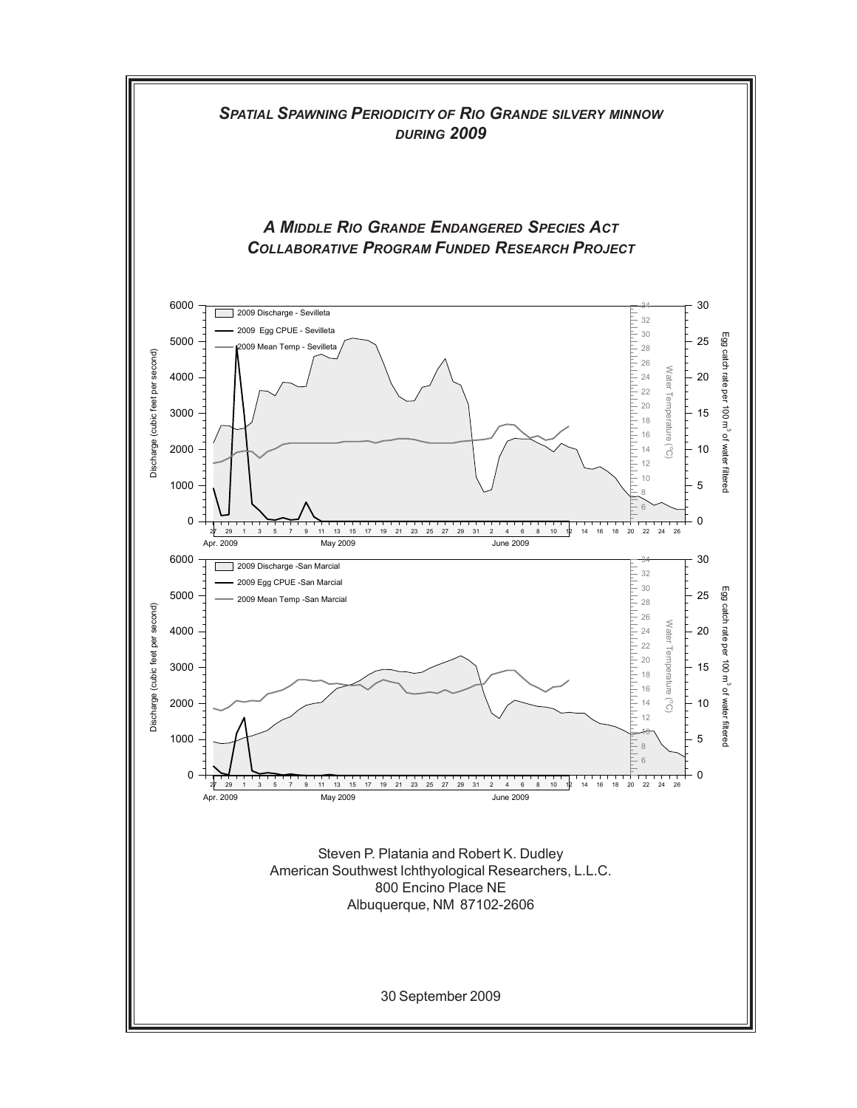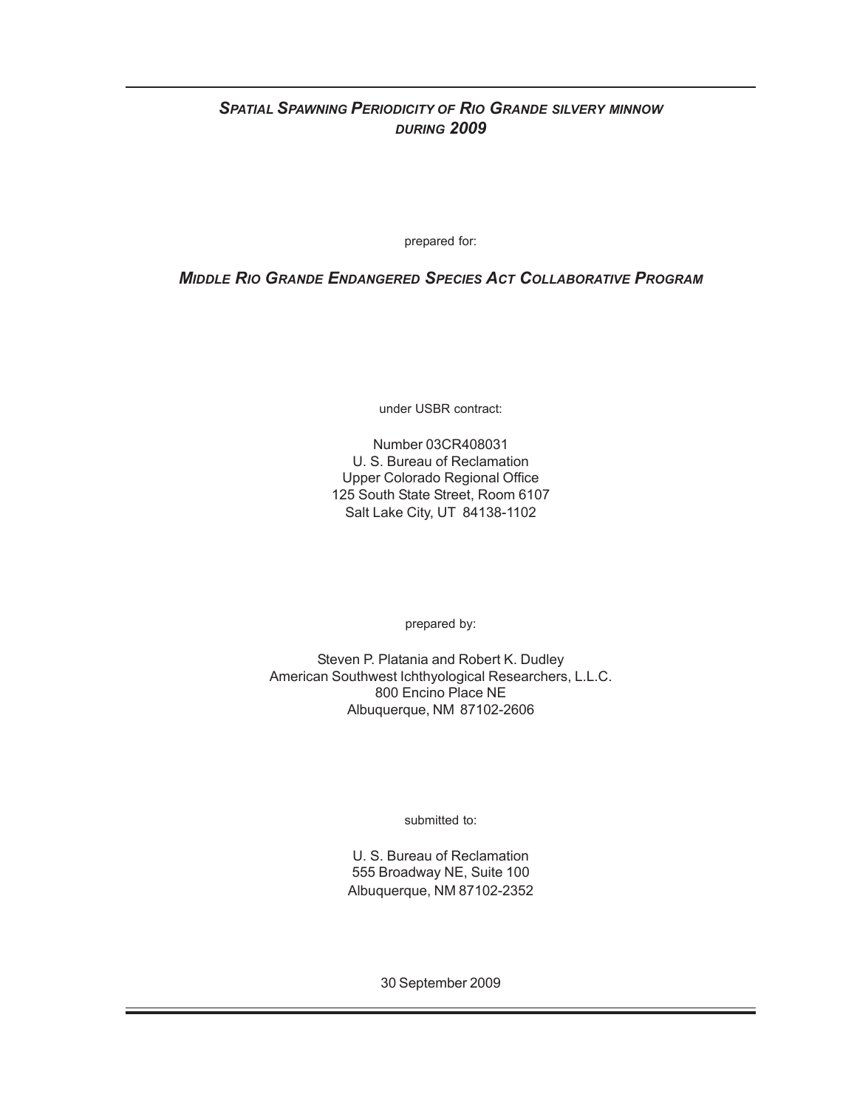# *SPATIAL SPAWNING PERIODICITY OF RIO GRANDE SILVERY MINNOW DURING 2009*

prepared for:

*MIDDLE RIO GRANDE ENDANGERED SPECIES ACT COLLABORATIVE PROGRAM*

under USBR contract:

Number 03CR408031 U. S. Bureau of Reclamation Upper Colorado Regional Office 125 South State Street, Room 6107 Salt Lake City, UT 84138-1102

prepared by:

Steven P. Platania and Robert K. Dudley American Southwest Ichthyological Researchers, L.L.C. 800 Encino Place NE Albuquerque, NM 87102-2606

submitted to:

U. S. Bureau of Reclamation 555 Broadway NE, Suite 100 Albuquerque, NM 87102-2352

30 September 2009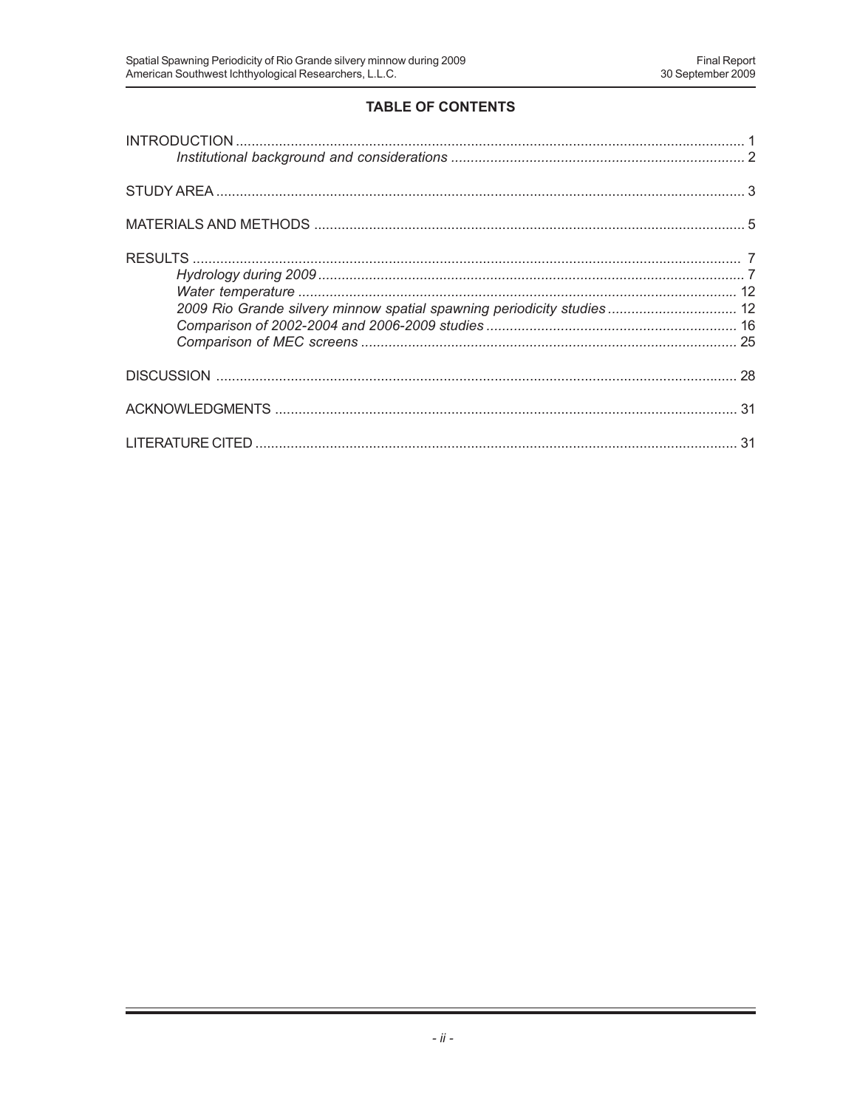# **TABLE OF CONTENTS**

| 2009 Rio Grande silvery minnow spatial spawning periodicity studies 12 |  |
|------------------------------------------------------------------------|--|
|                                                                        |  |
|                                                                        |  |
|                                                                        |  |
|                                                                        |  |
|                                                                        |  |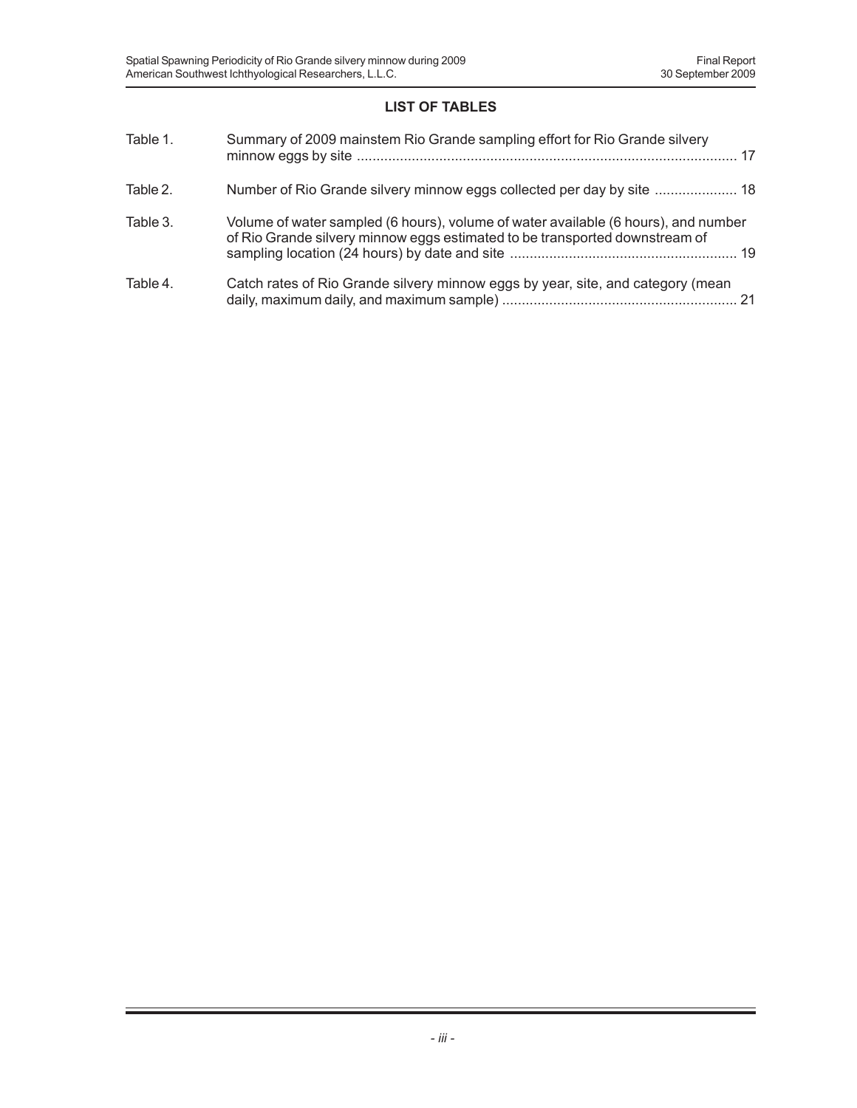# **LIST OF TABLES**

| Table 1. | Summary of 2009 mainstem Rio Grande sampling effort for Rio Grande silvery                                                                                        |
|----------|-------------------------------------------------------------------------------------------------------------------------------------------------------------------|
| Table 2. | Number of Rio Grande silvery minnow eggs collected per day by site  18                                                                                            |
| Table 3. | Volume of water sampled (6 hours), volume of water available (6 hours), and number<br>of Rio Grande silvery minnow eggs estimated to be transported downstream of |
| Table 4. | Catch rates of Rio Grande silvery minnow eggs by year, site, and category (mean                                                                                   |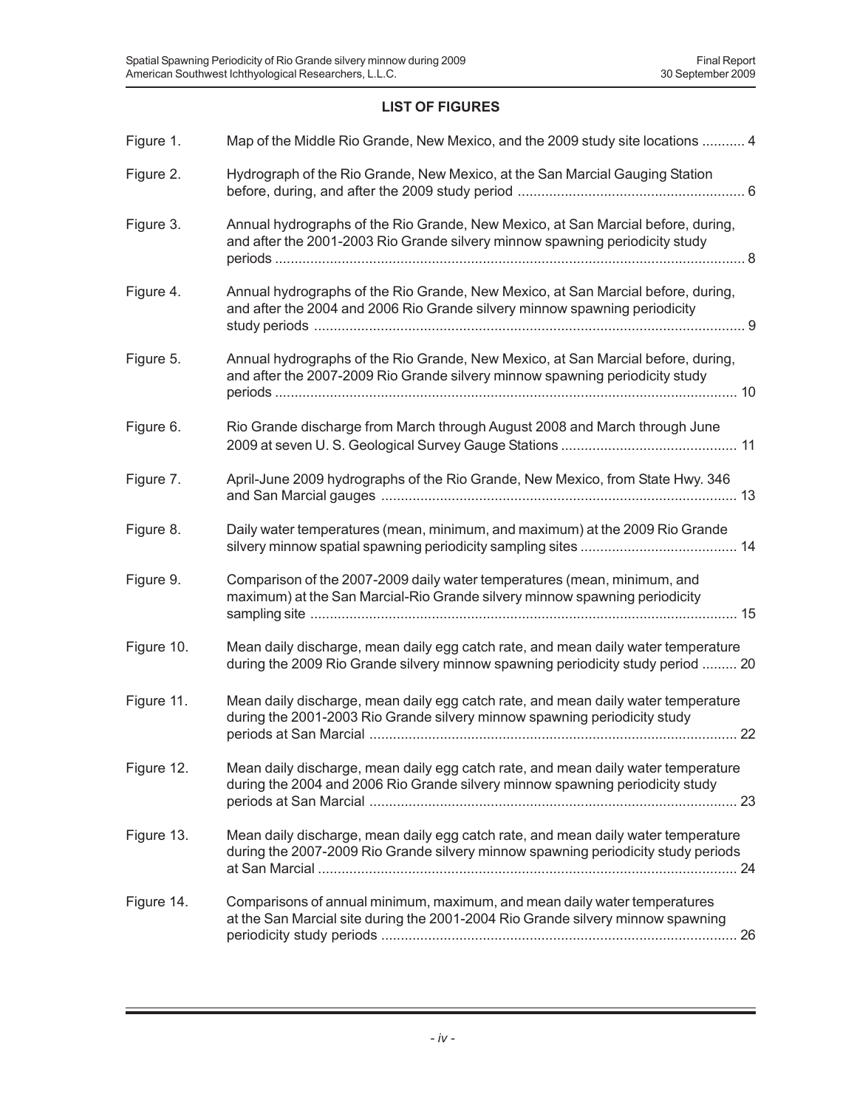## **LIST OF FIGURES**

| Figure 1.  | Map of the Middle Rio Grande, New Mexico, and the 2009 study site locations  4                                                                                         |
|------------|------------------------------------------------------------------------------------------------------------------------------------------------------------------------|
| Figure 2.  | Hydrograph of the Rio Grande, New Mexico, at the San Marcial Gauging Station                                                                                           |
| Figure 3.  | Annual hydrographs of the Rio Grande, New Mexico, at San Marcial before, during,<br>and after the 2001-2003 Rio Grande silvery minnow spawning periodicity study       |
| Figure 4.  | Annual hydrographs of the Rio Grande, New Mexico, at San Marcial before, during,<br>and after the 2004 and 2006 Rio Grande silvery minnow spawning periodicity         |
| Figure 5.  | Annual hydrographs of the Rio Grande, New Mexico, at San Marcial before, during,<br>and after the 2007-2009 Rio Grande silvery minnow spawning periodicity study       |
| Figure 6.  | Rio Grande discharge from March through August 2008 and March through June                                                                                             |
| Figure 7.  | April-June 2009 hydrographs of the Rio Grande, New Mexico, from State Hwy. 346                                                                                         |
| Figure 8.  | Daily water temperatures (mean, minimum, and maximum) at the 2009 Rio Grande                                                                                           |
| Figure 9.  | Comparison of the 2007-2009 daily water temperatures (mean, minimum, and<br>maximum) at the San Marcial-Rio Grande silvery minnow spawning periodicity                 |
| Figure 10. | Mean daily discharge, mean daily egg catch rate, and mean daily water temperature<br>during the 2009 Rio Grande silvery minnow spawning periodicity study period  20   |
| Figure 11. | Mean daily discharge, mean daily egg catch rate, and mean daily water temperature<br>during the 2001-2003 Rio Grande silvery minnow spawning periodicity study         |
| Figure 12. | Mean daily discharge, mean daily egg catch rate, and mean daily water temperature<br>during the 2004 and 2006 Rio Grande silvery minnow spawning periodicity study     |
| Figure 13. | Mean daily discharge, mean daily egg catch rate, and mean daily water temperature<br>during the 2007-2009 Rio Grande silvery minnow spawning periodicity study periods |
| Figure 14. | Comparisons of annual minimum, maximum, and mean daily water temperatures<br>at the San Marcial site during the 2001-2004 Rio Grande silvery minnow spawning           |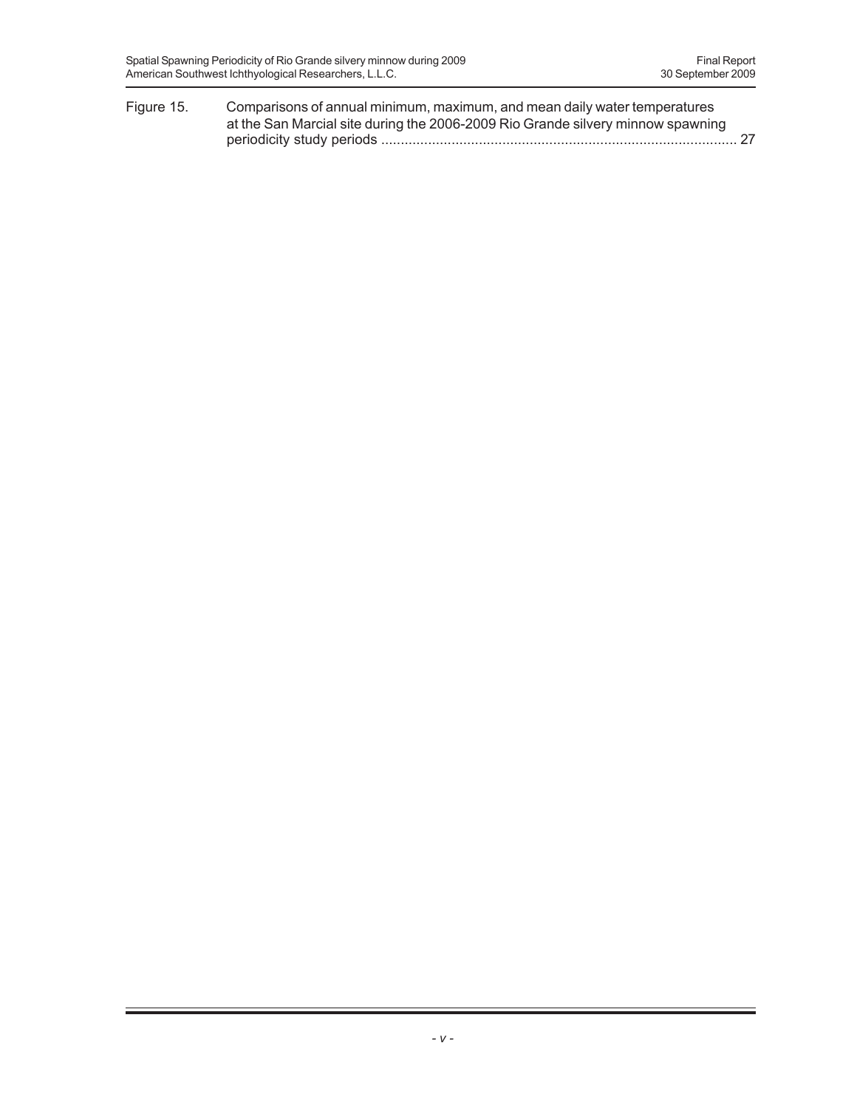| Figure 15. | Comparisons of annual minimum, maximum, and mean daily water temperatures       |  |
|------------|---------------------------------------------------------------------------------|--|
|            | at the San Marcial site during the 2006-2009 Rio Grande silvery minnow spawning |  |
|            |                                                                                 |  |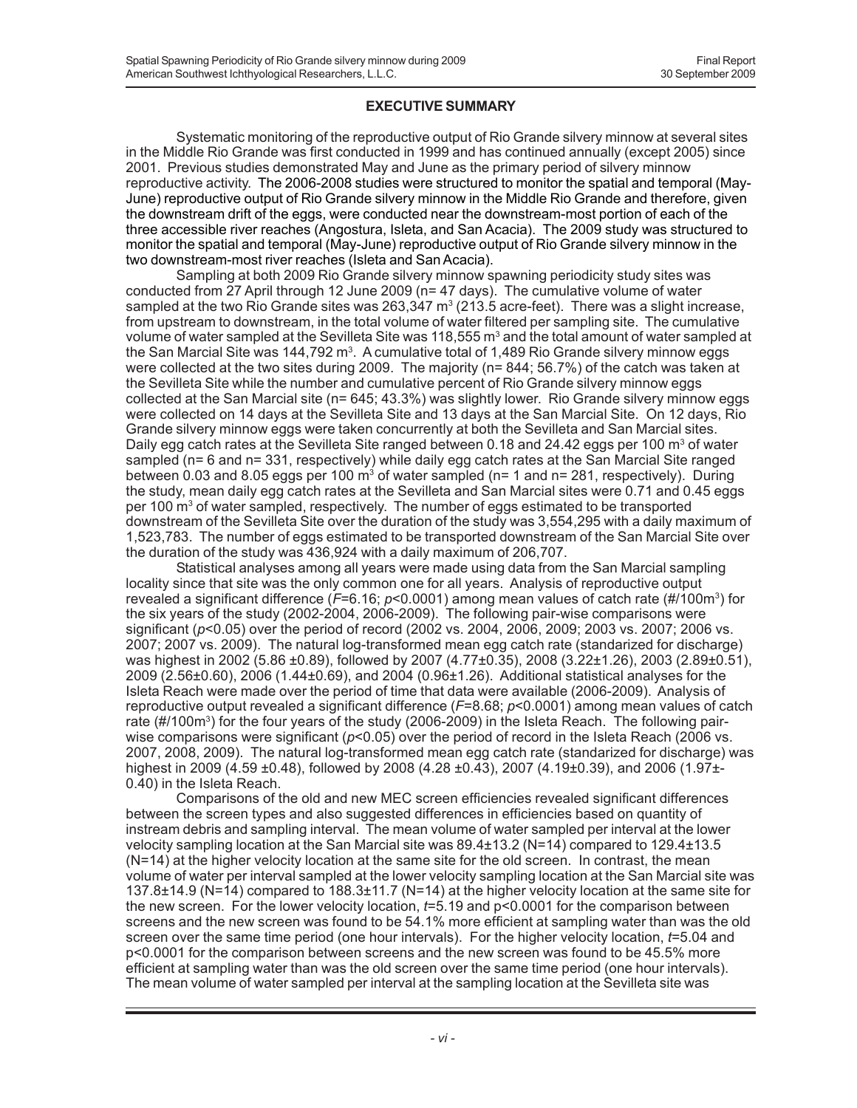#### **EXECUTIVE SUMMARY**

Systematic monitoring of the reproductive output of Rio Grande silvery minnow at several sites in the Middle Rio Grande was first conducted in 1999 and has continued annually (except 2005) since 2001. Previous studies demonstrated May and June as the primary period of silvery minnow reproductive activity. The 2006-2008 studies were structured to monitor the spatial and temporal (May-June) reproductive output of Rio Grande silvery minnow in the Middle Rio Grande and therefore, given the downstream drift of the eggs, were conducted near the downstream-most portion of each of the three accessible river reaches (Angostura, Isleta, and San Acacia). The 2009 study was structured to monitor the spatial and temporal (May-June) reproductive output of Rio Grande silvery minnow in the two downstream-most river reaches (Isleta and San Acacia).

Sampling at both 2009 Rio Grande silvery minnow spawning periodicity study sites was conducted from 27 April through 12 June 2009 (n= 47 days). The cumulative volume of water sampled at the two Rio Grande sites was 263,347 m<sup>3</sup> (213.5 acre-feet). There was a slight increase, from upstream to downstream, in the total volume of water filtered per sampling site. The cumulative volume of water sampled at the Sevilleta Site was 118,555  $\mathrm{m}^{_3}$  and the total amount of water sampled at the San Marcial Site was 144,792 m<sup>3</sup>. A cumulative total of 1,489 Rio Grande silvery minnow eggs were collected at the two sites during 2009. The majority (n= 844; 56.7%) of the catch was taken at the Sevilleta Site while the number and cumulative percent of Rio Grande silvery minnow eggs collected at the San Marcial site (n= 645; 43.3%) was slightly lower. Rio Grande silvery minnow eggs were collected on 14 days at the Sevilleta Site and 13 days at the San Marcial Site. On 12 days, Rio Grande silvery minnow eggs were taken concurrently at both the Sevilleta and San Marcial sites. Daily egg catch rates at the Sevilleta Site ranged between 0.18 and 24.42 eggs per 100 m<sup>3</sup> of water sampled (n= 6 and n= 331, respectively) while daily egg catch rates at the San Marcial Site ranged between 0.03 and 8.05 eggs per 100  $\text{m}^3$  of water sampled (n= 1 and n= 281, respectively). During the study, mean daily egg catch rates at the Sevilleta and San Marcial sites were 0.71 and 0.45 eggs per 100  $\text{m}^3$  of water sampled, respectively. The number of eggs estimated to be transported downstream of the Sevilleta Site over the duration of the study was 3,554,295 with a daily maximum of 1,523,783. The number of eggs estimated to be transported downstream of the San Marcial Site over the duration of the study was 436,924 with a daily maximum of 206,707.

Statistical analyses among all years were made using data from the San Marcial sampling locality since that site was the only common one for all years. Analysis of reproductive output revealed a significant difference (*F*=6.16; *p*<0.0001) among mean values of catch rate (#/100m3) for the six years of the study (2002-2004, 2006-2009). The following pair-wise comparisons were significant (*p*<0.05) over the period of record (2002 vs. 2004, 2006, 2009; 2003 vs. 2007; 2006 vs. 2007; 2007 vs. 2009). The natural log-transformed mean egg catch rate (standarized for discharge) was highest in 2002 (5.86 ±0.89), followed by 2007 (4.77±0.35), 2008 (3.22±1.26), 2003 (2.89±0.51), 2009 (2.56±0.60), 2006 (1.44±0.69), and 2004 (0.96±1.26). Additional statistical analyses for the Isleta Reach were made over the period of time that data were available (2006-2009). Analysis of reproductive output revealed a significant difference (*F*=8.68; *p*<0.0001) among mean values of catch rate ( $\#$ /100 $m^3$ ) for the four years of the study (2006-2009) in the Isleta Reach. The following pairwise comparisons were significant ( $p$ <0.05) over the period of record in the Isleta Reach (2006 vs. 2007, 2008, 2009). The natural log-transformed mean egg catch rate (standarized for discharge) was highest in 2009 (4.59  $\pm$ 0.48), followed by 2008 (4.28  $\pm$ 0.43), 2007 (4.19 $\pm$ 0.39), and 2006 (1.97 $\pm$ -0.40) in the Isleta Reach.

Comparisons of the old and new MEC screen efficiencies revealed significant differences between the screen types and also suggested differences in efficiencies based on quantity of instream debris and sampling interval. The mean volume of water sampled per interval at the lower velocity sampling location at the San Marcial site was 89.4±13.2 (N=14) compared to 129.4±13.5 (N=14) at the higher velocity location at the same site for the old screen. In contrast, the mean volume of water per interval sampled at the lower velocity sampling location at the San Marcial site was 137.8±14.9 (N=14) compared to 188.3±11.7 (N=14) at the higher velocity location at the same site for the new screen. For the lower velocity location, *t*=5.19 and p<0.0001 for the comparison between screens and the new screen was found to be 54.1% more efficient at sampling water than was the old screen over the same time period (one hour intervals). For the higher velocity location, *t*=5.04 and p<0.0001 for the comparison between screens and the new screen was found to be 45.5% more efficient at sampling water than was the old screen over the same time period (one hour intervals). The mean volume of water sampled per interval at the sampling location at the Sevilleta site was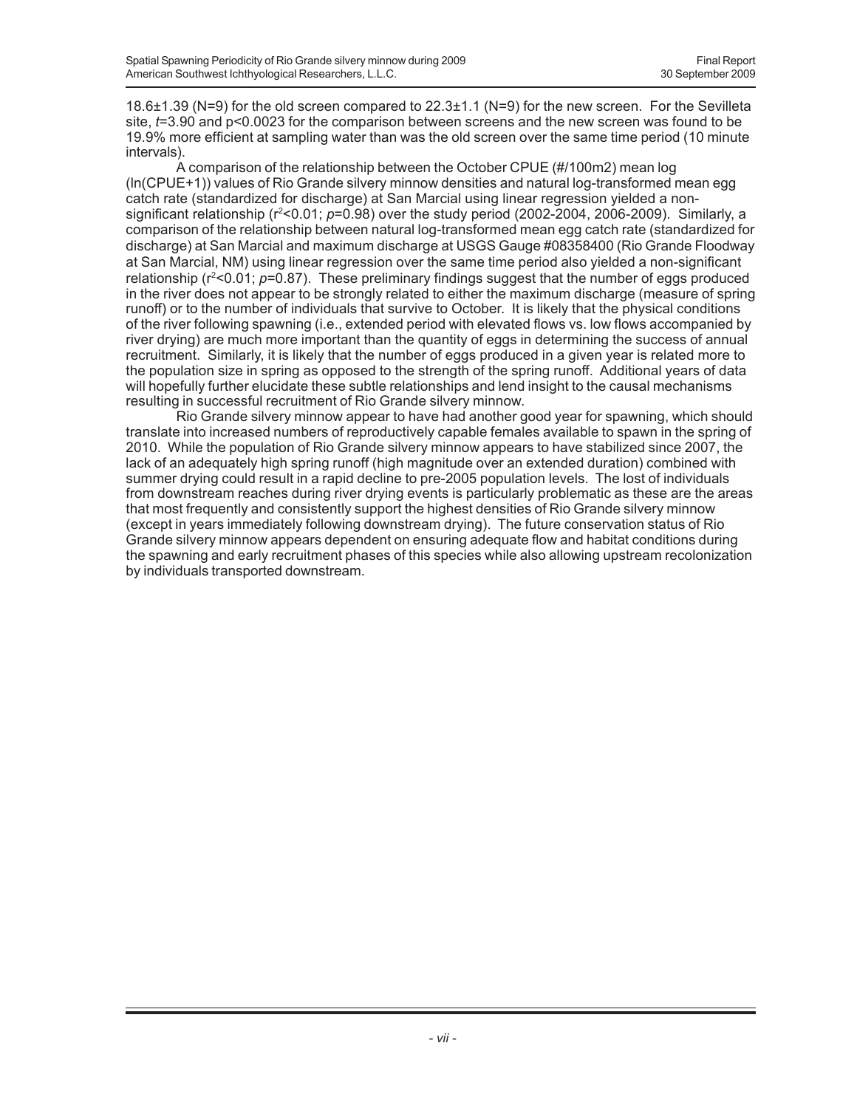18.6±1.39 (N=9) for the old screen compared to 22.3±1.1 (N=9) for the new screen. For the Sevilleta site, *t*=3.90 and p<0.0023 for the comparison between screens and the new screen was found to be 19.9% more efficient at sampling water than was the old screen over the same time period (10 minute intervals).

A comparison of the relationship between the October CPUE (#/100m2) mean log (ln(CPUE+1)) values of Rio Grande silvery minnow densities and natural log-transformed mean egg catch rate (standardized for discharge) at San Marcial using linear regression yielded a nonsignificant relationship (r<sup>2</sup><0.01; p=0.98) over the study period (2002-2004, 2006-2009). Similarly, a comparison of the relationship between natural log-transformed mean egg catch rate (standardized for discharge) at San Marcial and maximum discharge at USGS Gauge #08358400 (Rio Grande Floodway at San Marcial, NM) using linear regression over the same time period also yielded a non-significant relationship ( $r<sup>2</sup> < 0.01$ ;  $p=0.87$ ). These preliminary findings suggest that the number of eggs produced in the river does not appear to be strongly related to either the maximum discharge (measure of spring runoff) or to the number of individuals that survive to October. It is likely that the physical conditions of the river following spawning (i.e., extended period with elevated flows vs. low flows accompanied by river drying) are much more important than the quantity of eggs in determining the success of annual recruitment. Similarly, it is likely that the number of eggs produced in a given year is related more to the population size in spring as opposed to the strength of the spring runoff. Additional years of data will hopefully further elucidate these subtle relationships and lend insight to the causal mechanisms resulting in successful recruitment of Rio Grande silvery minnow.

Rio Grande silvery minnow appear to have had another good year for spawning, which should translate into increased numbers of reproductively capable females available to spawn in the spring of 2010. While the population of Rio Grande silvery minnow appears to have stabilized since 2007, the lack of an adequately high spring runoff (high magnitude over an extended duration) combined with summer drying could result in a rapid decline to pre-2005 population levels. The lost of individuals from downstream reaches during river drying events is particularly problematic as these are the areas that most frequently and consistently support the highest densities of Rio Grande silvery minnow (except in years immediately following downstream drying). The future conservation status of Rio Grande silvery minnow appears dependent on ensuring adequate flow and habitat conditions during the spawning and early recruitment phases of this species while also allowing upstream recolonization by individuals transported downstream.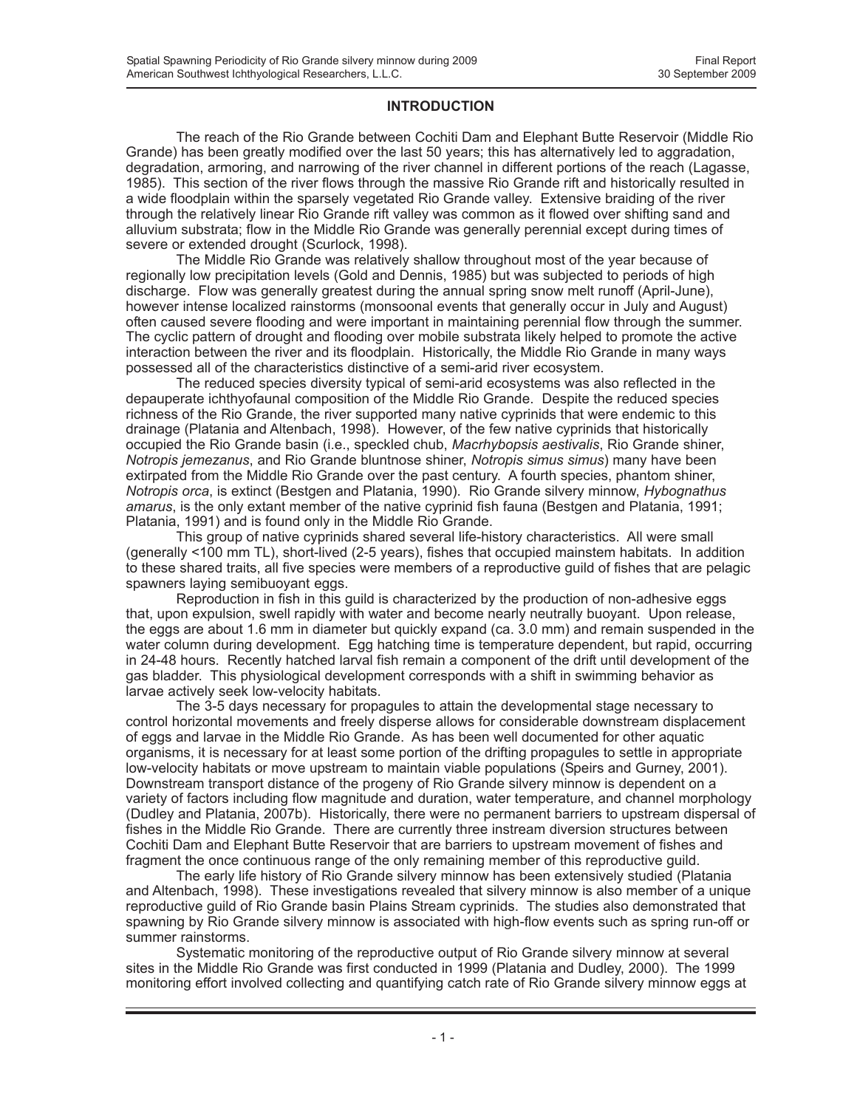#### **INTRODUCTION**

The reach of the Rio Grande between Cochiti Dam and Elephant Butte Reservoir (Middle Rio Grande) has been greatly modified over the last 50 years; this has alternatively led to aggradation, degradation, armoring, and narrowing of the river channel in different portions of the reach (Lagasse, 1985). This section of the river flows through the massive Rio Grande rift and historically resulted in a wide floodplain within the sparsely vegetated Rio Grande valley. Extensive braiding of the river through the relatively linear Rio Grande rift valley was common as it flowed over shifting sand and alluvium substrata; flow in the Middle Rio Grande was generally perennial except during times of severe or extended drought (Scurlock, 1998).

The Middle Rio Grande was relatively shallow throughout most of the year because of regionally low precipitation levels (Gold and Dennis, 1985) but was subjected to periods of high discharge. Flow was generally greatest during the annual spring snow melt runoff (April-June), however intense localized rainstorms (monsoonal events that generally occur in July and August) often caused severe flooding and were important in maintaining perennial flow through the summer. The cyclic pattern of drought and flooding over mobile substrata likely helped to promote the active interaction between the river and its floodplain. Historically, the Middle Rio Grande in many ways possessed all of the characteristics distinctive of a semi-arid river ecosystem.

The reduced species diversity typical of semi-arid ecosystems was also reflected in the depauperate ichthyofaunal composition of the Middle Rio Grande. Despite the reduced species richness of the Rio Grande, the river supported many native cyprinids that were endemic to this drainage (Platania and Altenbach, 1998). However, of the few native cyprinids that historically occupied the Rio Grande basin (i.e., speckled chub, *Macrhybopsis aestivalis*, Rio Grande shiner, *Notropis jemezanus*, and Rio Grande bluntnose shiner, *Notropis simus simus*) many have been extirpated from the Middle Rio Grande over the past century. A fourth species, phantom shiner, *Notropis orca*, is extinct (Bestgen and Platania, 1990). Rio Grande silvery minnow, *Hybognathus amarus*, is the only extant member of the native cyprinid fish fauna (Bestgen and Platania, 1991; Platania, 1991) and is found only in the Middle Rio Grande.

This group of native cyprinids shared several life-history characteristics. All were small (generally <100 mm TL), short-lived (2-5 years), fishes that occupied mainstem habitats. In addition to these shared traits, all five species were members of a reproductive guild of fishes that are pelagic spawners laying semibuoyant eggs.

Reproduction in fish in this guild is characterized by the production of non-adhesive eggs that, upon expulsion, swell rapidly with water and become nearly neutrally buoyant. Upon release, the eggs are about 1.6 mm in diameter but quickly expand (ca. 3.0 mm) and remain suspended in the water column during development. Egg hatching time is temperature dependent, but rapid, occurring in 24-48 hours. Recently hatched larval fish remain a component of the drift until development of the gas bladder. This physiological development corresponds with a shift in swimming behavior as larvae actively seek low-velocity habitats.

The 3-5 days necessary for propagules to attain the developmental stage necessary to control horizontal movements and freely disperse allows for considerable downstream displacement of eggs and larvae in the Middle Rio Grande. As has been well documented for other aquatic organisms, it is necessary for at least some portion of the drifting propagules to settle in appropriate low-velocity habitats or move upstream to maintain viable populations (Speirs and Gurney, 2001). Downstream transport distance of the progeny of Rio Grande silvery minnow is dependent on a variety of factors including flow magnitude and duration, water temperature, and channel morphology (Dudley and Platania, 2007b). Historically, there were no permanent barriers to upstream dispersal of fishes in the Middle Rio Grande. There are currently three instream diversion structures between Cochiti Dam and Elephant Butte Reservoir that are barriers to upstream movement of fishes and fragment the once continuous range of the only remaining member of this reproductive guild.

The early life history of Rio Grande silvery minnow has been extensively studied (Platania and Altenbach, 1998). These investigations revealed that silvery minnow is also member of a unique reproductive guild of Rio Grande basin Plains Stream cyprinids. The studies also demonstrated that spawning by Rio Grande silvery minnow is associated with high-flow events such as spring run-off or summer rainstorms.

Systematic monitoring of the reproductive output of Rio Grande silvery minnow at several sites in the Middle Rio Grande was first conducted in 1999 (Platania and Dudley, 2000). The 1999 monitoring effort involved collecting and quantifying catch rate of Rio Grande silvery minnow eggs at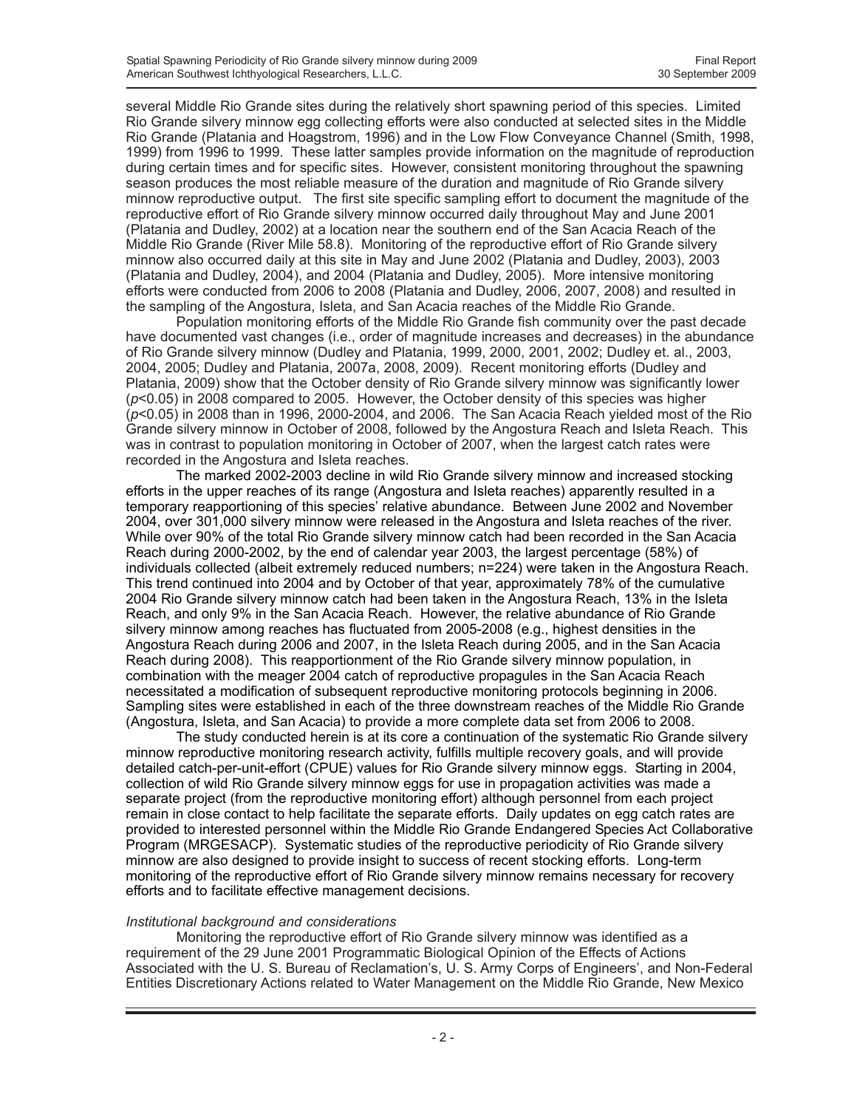several Middle Rio Grande sites during the relatively short spawning period of this species. Limited Rio Grande silvery minnow egg collecting efforts were also conducted at selected sites in the Middle Rio Grande (Platania and Hoagstrom, 1996) and in the Low Flow Conveyance Channel (Smith, 1998, 1999) from 1996 to 1999. These latter samples provide information on the magnitude of reproduction during certain times and for specific sites. However, consistent monitoring throughout the spawning season produces the most reliable measure of the duration and magnitude of Rio Grande silvery minnow reproductive output. The first site specific sampling effort to document the magnitude of the reproductive effort of Rio Grande silvery minnow occurred daily throughout May and June 2001 (Platania and Dudley, 2002) at a location near the southern end of the San Acacia Reach of the Middle Rio Grande (River Mile 58.8). Monitoring of the reproductive effort of Rio Grande silvery minnow also occurred daily at this site in May and June 2002 (Platania and Dudley, 2003), 2003 (Platania and Dudley, 2004), and 2004 (Platania and Dudley, 2005). More intensive monitoring efforts were conducted from 2006 to 2008 (Platania and Dudley, 2006, 2007, 2008) and resulted in the sampling of the Angostura, Isleta, and San Acacia reaches of the Middle Rio Grande.

Population monitoring efforts of the Middle Rio Grande fish community over the past decade have documented vast changes (i.e., order of magnitude increases and decreases) in the abundance of Rio Grande silvery minnow (Dudley and Platania, 1999, 2000, 2001, 2002; Dudley et. al., 2003, 2004, 2005; Dudley and Platania, 2007a, 2008, 2009). Recent monitoring efforts (Dudley and Platania, 2009) show that the October density of Rio Grande silvery minnow was significantly lower (*p*<0.05) in 2008 compared to 2005. However, the October density of this species was higher (*p*<0.05) in 2008 than in 1996, 2000-2004, and 2006. The San Acacia Reach yielded most of the Rio Grande silvery minnow in October of 2008, followed by the Angostura Reach and Isleta Reach. This was in contrast to population monitoring in October of 2007, when the largest catch rates were recorded in the Angostura and Isleta reaches.

The marked 2002-2003 decline in wild Rio Grande silvery minnow and increased stocking efforts in the upper reaches of its range (Angostura and Isleta reaches) apparently resulted in a temporary reapportioning of this species' relative abundance. Between June 2002 and November 2004, over 301,000 silvery minnow were released in the Angostura and Isleta reaches of the river. While over 90% of the total Rio Grande silvery minnow catch had been recorded in the San Acacia Reach during 2000-2002, by the end of calendar year 2003, the largest percentage (58%) of individuals collected (albeit extremely reduced numbers; n=224) were taken in the Angostura Reach. This trend continued into 2004 and by October of that year, approximately 78% of the cumulative 2004 Rio Grande silvery minnow catch had been taken in the Angostura Reach, 13% in the Isleta Reach, and only 9% in the San Acacia Reach. However, the relative abundance of Rio Grande silvery minnow among reaches has fluctuated from 2005-2008 (e.g., highest densities in the Angostura Reach during 2006 and 2007, in the Isleta Reach during 2005, and in the San Acacia Reach during 2008). This reapportionment of the Rio Grande silvery minnow population, in combination with the meager 2004 catch of reproductive propagules in the San Acacia Reach necessitated a modification of subsequent reproductive monitoring protocols beginning in 2006. Sampling sites were established in each of the three downstream reaches of the Middle Rio Grande (Angostura, Isleta, and San Acacia) to provide a more complete data set from 2006 to 2008.

The study conducted herein is at its core a continuation of the systematic Rio Grande silvery minnow reproductive monitoring research activity, fulfills multiple recovery goals, and will provide detailed catch-per-unit-effort (CPUE) values for Rio Grande silvery minnow eggs. Starting in 2004, collection of wild Rio Grande silvery minnow eggs for use in propagation activities was made a separate project (from the reproductive monitoring effort) although personnel from each project remain in close contact to help facilitate the separate efforts. Daily updates on egg catch rates are provided to interested personnel within the Middle Rio Grande Endangered Species Act Collaborative Program (MRGESACP). Systematic studies of the reproductive periodicity of Rio Grande silvery minnow are also designed to provide insight to success of recent stocking efforts. Long-term monitoring of the reproductive effort of Rio Grande silvery minnow remains necessary for recovery efforts and to facilitate effective management decisions.

#### *Institutional background and considerations*

Monitoring the reproductive effort of Rio Grande silvery minnow was identified as a requirement of the 29 June 2001 Programmatic Biological Opinion of the Effects of Actions Associated with the U. S. Bureau of Reclamation's, U. S. Army Corps of Engineers', and Non-Federal Entities Discretionary Actions related to Water Management on the Middle Rio Grande, New Mexico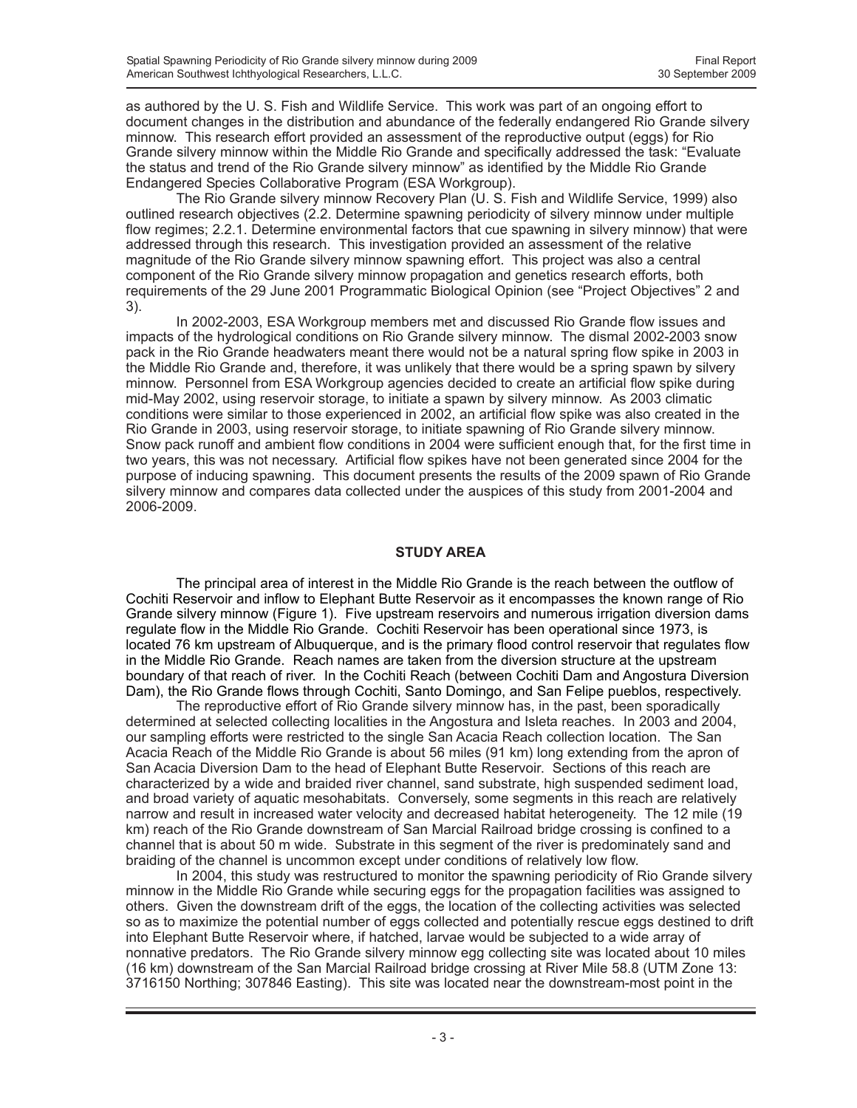as authored by the U. S. Fish and Wildlife Service. This work was part of an ongoing effort to document changes in the distribution and abundance of the federally endangered Rio Grande silvery minnow. This research effort provided an assessment of the reproductive output (eggs) for Rio Grande silvery minnow within the Middle Rio Grande and specifically addressed the task: "Evaluate the status and trend of the Rio Grande silvery minnow" as identified by the Middle Rio Grande Endangered Species Collaborative Program (ESA Workgroup).

The Rio Grande silvery minnow Recovery Plan (U. S. Fish and Wildlife Service, 1999) also outlined research objectives (2.2. Determine spawning periodicity of silvery minnow under multiple flow regimes; 2.2.1. Determine environmental factors that cue spawning in silvery minnow) that were addressed through this research. This investigation provided an assessment of the relative magnitude of the Rio Grande silvery minnow spawning effort. This project was also a central component of the Rio Grande silvery minnow propagation and genetics research efforts, both requirements of the 29 June 2001 Programmatic Biological Opinion (see "Project Objectives" 2 and 3).

In 2002-2003, ESA Workgroup members met and discussed Rio Grande flow issues and impacts of the hydrological conditions on Rio Grande silvery minnow. The dismal 2002-2003 snow pack in the Rio Grande headwaters meant there would not be a natural spring flow spike in 2003 in the Middle Rio Grande and, therefore, it was unlikely that there would be a spring spawn by silvery minnow. Personnel from ESA Workgroup agencies decided to create an artificial flow spike during mid-May 2002, using reservoir storage, to initiate a spawn by silvery minnow. As 2003 climatic conditions were similar to those experienced in 2002, an artificial flow spike was also created in the Rio Grande in 2003, using reservoir storage, to initiate spawning of Rio Grande silvery minnow. Snow pack runoff and ambient flow conditions in 2004 were sufficient enough that, for the first time in two years, this was not necessary. Artificial flow spikes have not been generated since 2004 for the purpose of inducing spawning. This document presents the results of the 2009 spawn of Rio Grande silvery minnow and compares data collected under the auspices of this study from 2001-2004 and 2006-2009.

#### **STUDY AREA**

The principal area of interest in the Middle Rio Grande is the reach between the outflow of Cochiti Reservoir and inflow to Elephant Butte Reservoir as it encompasses the known range of Rio Grande silvery minnow (Figure 1). Five upstream reservoirs and numerous irrigation diversion dams regulate flow in the Middle Rio Grande. Cochiti Reservoir has been operational since 1973, is located 76 km upstream of Albuquerque, and is the primary flood control reservoir that regulates flow in the Middle Rio Grande. Reach names are taken from the diversion structure at the upstream boundary of that reach of river. In the Cochiti Reach (between Cochiti Dam and Angostura Diversion Dam), the Rio Grande flows through Cochiti, Santo Domingo, and San Felipe pueblos, respectively.

The reproductive effort of Rio Grande silvery minnow has, in the past, been sporadically determined at selected collecting localities in the Angostura and Isleta reaches. In 2003 and 2004, our sampling efforts were restricted to the single San Acacia Reach collection location. The San Acacia Reach of the Middle Rio Grande is about 56 miles (91 km) long extending from the apron of San Acacia Diversion Dam to the head of Elephant Butte Reservoir. Sections of this reach are characterized by a wide and braided river channel, sand substrate, high suspended sediment load, and broad variety of aquatic mesohabitats. Conversely, some segments in this reach are relatively narrow and result in increased water velocity and decreased habitat heterogeneity. The 12 mile (19 km) reach of the Rio Grande downstream of San Marcial Railroad bridge crossing is confined to a channel that is about 50 m wide. Substrate in this segment of the river is predominately sand and braiding of the channel is uncommon except under conditions of relatively low flow.

In 2004, this study was restructured to monitor the spawning periodicity of Rio Grande silvery minnow in the Middle Rio Grande while securing eggs for the propagation facilities was assigned to others. Given the downstream drift of the eggs, the location of the collecting activities was selected so as to maximize the potential number of eggs collected and potentially rescue eggs destined to drift into Elephant Butte Reservoir where, if hatched, larvae would be subjected to a wide array of nonnative predators. The Rio Grande silvery minnow egg collecting site was located about 10 miles (16 km) downstream of the San Marcial Railroad bridge crossing at River Mile 58.8 (UTM Zone 13: 3716150 Northing; 307846 Easting). This site was located near the downstream-most point in the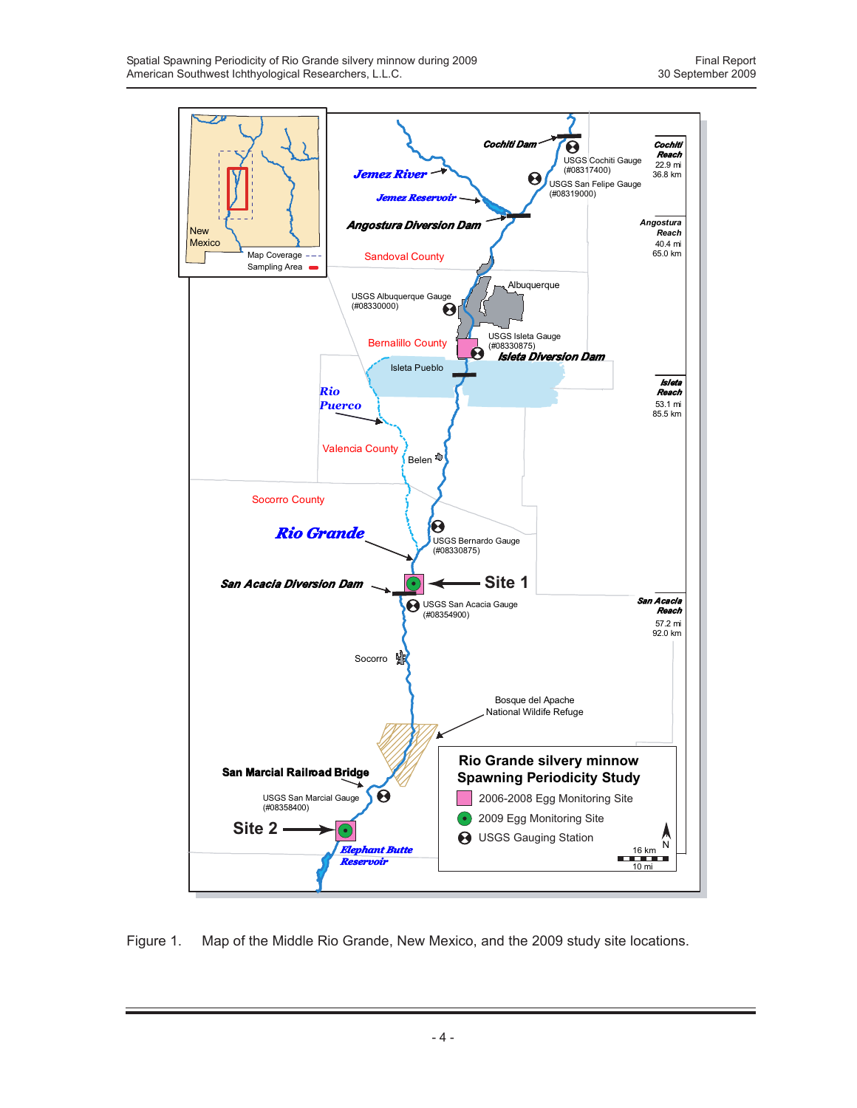

Figure 1. Map of the Middle Rio Grande, New Mexico, and the 2009 study site locations.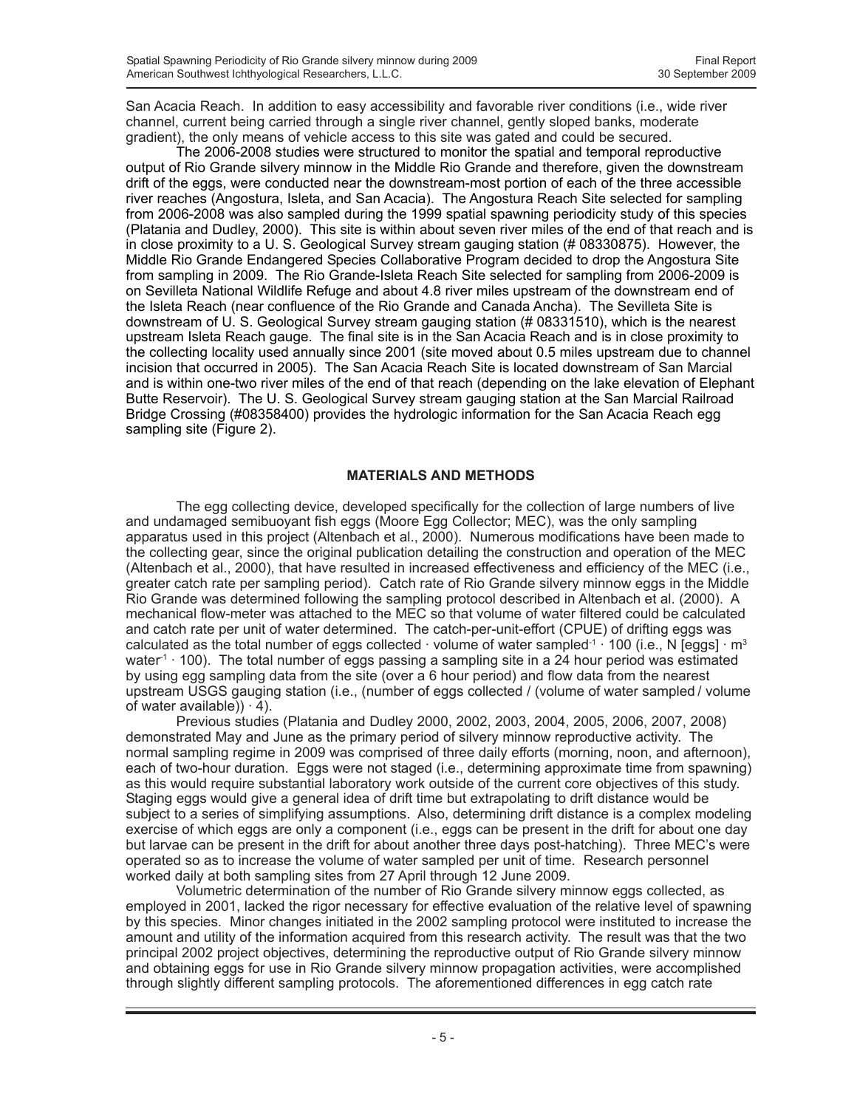San Acacia Reach. In addition to easy accessibility and favorable river conditions (i.e., wide river channel, current being carried through a single river channel, gently sloped banks, moderate gradient), the only means of vehicle access to this site was gated and could be secured.

The 2006-2008 studies were structured to monitor the spatial and temporal reproductive output of Rio Grande silvery minnow in the Middle Rio Grande and therefore, given the downstream drift of the eggs, were conducted near the downstream-most portion of each of the three accessible river reaches (Angostura, Isleta, and San Acacia). The Angostura Reach Site selected for sampling from 2006-2008 was also sampled during the 1999 spatial spawning periodicity study of this species (Platania and Dudley, 2000). This site is within about seven river miles of the end of that reach and is in close proximity to a U. S. Geological Survey stream gauging station (# 08330875). However, the Middle Rio Grande Endangered Species Collaborative Program decided to drop the Angostura Site from sampling in 2009. The Rio Grande-Isleta Reach Site selected for sampling from 2006-2009 is on Sevilleta National Wildlife Refuge and about 4.8 river miles upstream of the downstream end of the Isleta Reach (near confluence of the Rio Grande and Canada Ancha). The Sevilleta Site is downstream of U. S. Geological Survey stream gauging station (# 08331510), which is the nearest upstream Isleta Reach gauge. The final site is in the San Acacia Reach and is in close proximity to the collecting locality used annually since 2001 (site moved about 0.5 miles upstream due to channel incision that occurred in 2005). The San Acacia Reach Site is located downstream of San Marcial and is within one-two river miles of the end of that reach (depending on the lake elevation of Elephant Butte Reservoir). The U. S. Geological Survey stream gauging station at the San Marcial Railroad Bridge Crossing (#08358400) provides the hydrologic information for the San Acacia Reach egg sampling site (Figure 2).

### **MATERIALS AND METHODS**

The egg collecting device, developed specifically for the collection of large numbers of live and undamaged semibuoyant fish eggs (Moore Egg Collector; MEC), was the only sampling apparatus used in this project (Altenbach et al., 2000). Numerous modifications have been made to the collecting gear, since the original publication detailing the construction and operation of the MEC (Altenbach et al., 2000), that have resulted in increased effectiveness and efficiency of the MEC (i.e., greater catch rate per sampling period). Catch rate of Rio Grande silvery minnow eggs in the Middle Rio Grande was determined following the sampling protocol described in Altenbach et al. (2000). A mechanical flow-meter was attached to the MEC so that volume of water filtered could be calculated and catch rate per unit of water determined. The catch-per-unit-effort (CPUE) of drifting eggs was calculated as the total number of eggs collected · volume of water sampled<sup>-1</sup> · 100 (i.e., N [eggs] · m<sup>3</sup> water<sup>1</sup> · 100). The total number of eggs passing a sampling site in a 24 hour period was estimated by using egg sampling data from the site (over a 6 hour period) and flow data from the nearest upstream USGS gauging station (i.e., (number of eggs collected / (volume of water sampled / volume of water available) $) \cdot 4$ ).

Previous studies (Platania and Dudley 2000, 2002, 2003, 2004, 2005, 2006, 2007, 2008) demonstrated May and June as the primary period of silvery minnow reproductive activity. The normal sampling regime in 2009 was comprised of three daily efforts (morning, noon, and afternoon), each of two-hour duration. Eggs were not staged (i.e., determining approximate time from spawning) as this would require substantial laboratory work outside of the current core objectives of this study. Staging eggs would give a general idea of drift time but extrapolating to drift distance would be subject to a series of simplifying assumptions. Also, determining drift distance is a complex modeling exercise of which eggs are only a component (i.e., eggs can be present in the drift for about one day but larvae can be present in the drift for about another three days post-hatching). Three MEC's were operated so as to increase the volume of water sampled per unit of time. Research personnel worked daily at both sampling sites from 27 April through 12 June 2009.

Volumetric determination of the number of Rio Grande silvery minnow eggs collected, as employed in 2001, lacked the rigor necessary for effective evaluation of the relative level of spawning by this species. Minor changes initiated in the 2002 sampling protocol were instituted to increase the amount and utility of the information acquired from this research activity. The result was that the two principal 2002 project objectives, determining the reproductive output of Rio Grande silvery minnow and obtaining eggs for use in Rio Grande silvery minnow propagation activities, were accomplished through slightly different sampling protocols. The aforementioned differences in egg catch rate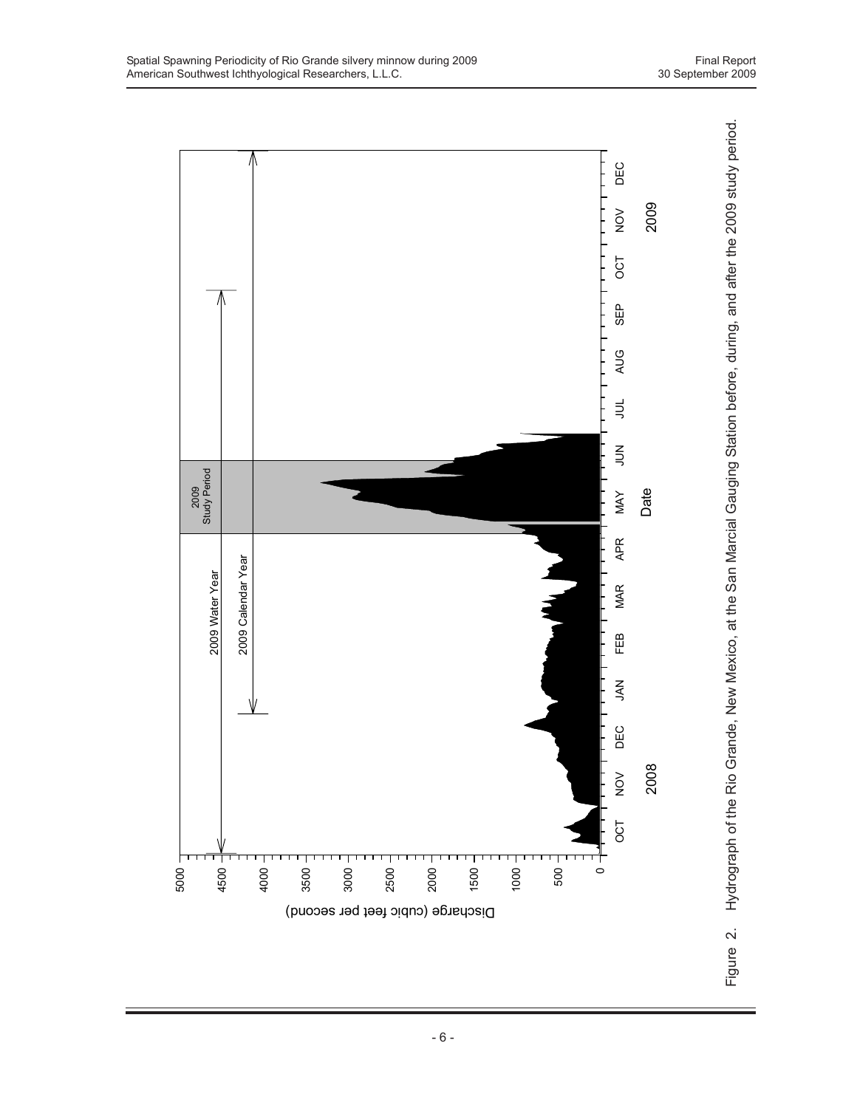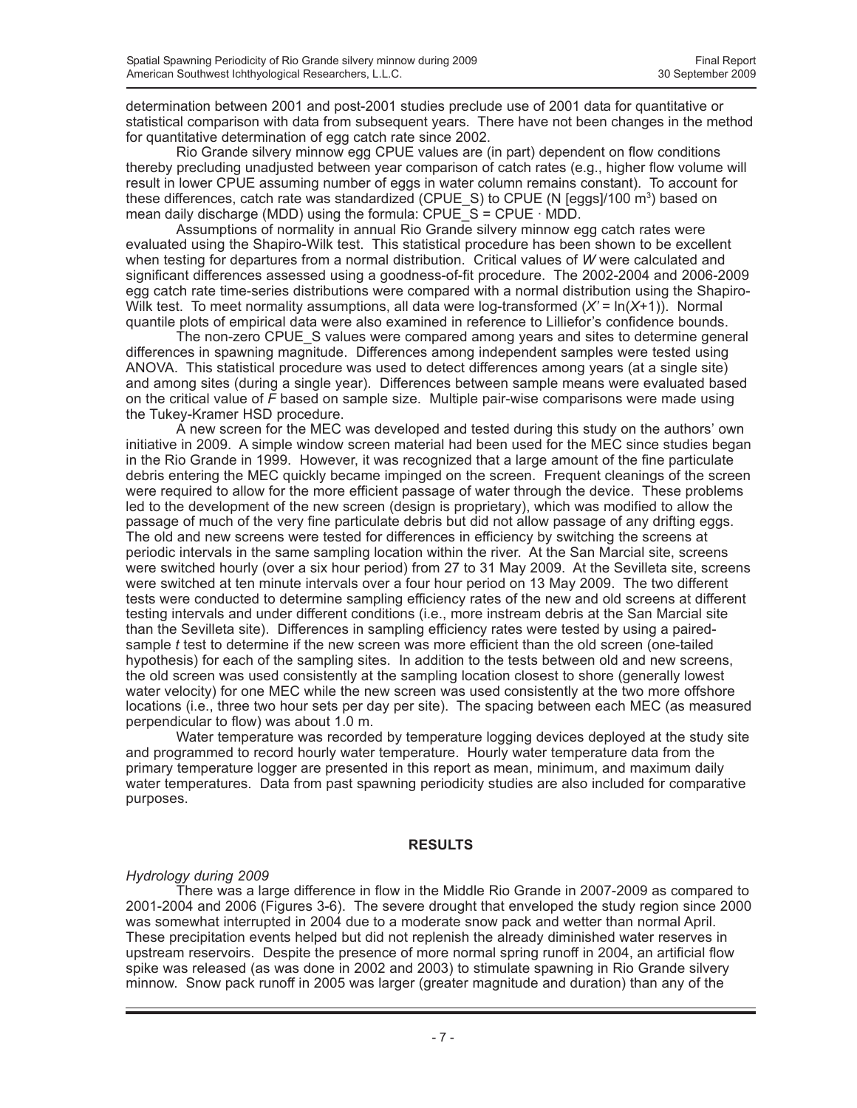determination between 2001 and post-2001 studies preclude use of 2001 data for quantitative or statistical comparison with data from subsequent years. There have not been changes in the method for quantitative determination of egg catch rate since 2002.

Rio Grande silvery minnow egg CPUE values are (in part) dependent on flow conditions thereby precluding unadjusted between year comparison of catch rates (e.g., higher flow volume will result in lower CPUE assuming number of eggs in water column remains constant). To account for these differences, catch rate was standardized (CPUE\_S) to CPUE (N [eggs]/100 m<sup>3</sup>) based on mean daily discharge (MDD) using the formula: CPUE\_S = CPUE · MDD.

Assumptions of normality in annual Rio Grande silvery minnow egg catch rates were evaluated using the Shapiro-Wilk test. This statistical procedure has been shown to be excellent when testing for departures from a normal distribution. Critical values of *W* were calculated and significant differences assessed using a goodness-of-fit procedure. The 2002-2004 and 2006-2009 egg catch rate time-series distributions were compared with a normal distribution using the Shapiro-Wilk test. To meet normality assumptions, all data were log-transformed (*X'* = ln(*X*+1)). Normal quantile plots of empirical data were also examined in reference to Lilliefor's confidence bounds.

The non-zero CPUE\_S values were compared among years and sites to determine general differences in spawning magnitude. Differences among independent samples were tested using ANOVA. This statistical procedure was used to detect differences among years (at a single site) and among sites (during a single year). Differences between sample means were evaluated based on the critical value of *F* based on sample size. Multiple pair-wise comparisons were made using the Tukey-Kramer HSD procedure.

A new screen for the MEC was developed and tested during this study on the authors' own initiative in 2009. A simple window screen material had been used for the MEC since studies began in the Rio Grande in 1999. However, it was recognized that a large amount of the fine particulate debris entering the MEC quickly became impinged on the screen. Frequent cleanings of the screen were required to allow for the more efficient passage of water through the device. These problems led to the development of the new screen (design is proprietary), which was modified to allow the passage of much of the very fine particulate debris but did not allow passage of any drifting eggs. The old and new screens were tested for differences in efficiency by switching the screens at periodic intervals in the same sampling location within the river. At the San Marcial site, screens were switched hourly (over a six hour period) from 27 to 31 May 2009. At the Sevilleta site, screens were switched at ten minute intervals over a four hour period on 13 May 2009. The two different tests were conducted to determine sampling efficiency rates of the new and old screens at different testing intervals and under different conditions (i.e., more instream debris at the San Marcial site than the Sevilleta site). Differences in sampling efficiency rates were tested by using a pairedsample *t* test to determine if the new screen was more efficient than the old screen (one-tailed hypothesis) for each of the sampling sites. In addition to the tests between old and new screens, the old screen was used consistently at the sampling location closest to shore (generally lowest water velocity) for one MEC while the new screen was used consistently at the two more offshore locations (i.e., three two hour sets per day per site). The spacing between each MEC (as measured perpendicular to flow) was about 1.0 m.

Water temperature was recorded by temperature logging devices deployed at the study site and programmed to record hourly water temperature. Hourly water temperature data from the primary temperature logger are presented in this report as mean, minimum, and maximum daily water temperatures. Data from past spawning periodicity studies are also included for comparative purposes.

### **RESULTS**

#### *Hydrology during 2009*

There was a large difference in flow in the Middle Rio Grande in 2007-2009 as compared to 2001-2004 and 2006 (Figures 3-6). The severe drought that enveloped the study region since 2000 was somewhat interrupted in 2004 due to a moderate snow pack and wetter than normal April. These precipitation events helped but did not replenish the already diminished water reserves in upstream reservoirs. Despite the presence of more normal spring runoff in 2004, an artificial flow spike was released (as was done in 2002 and 2003) to stimulate spawning in Rio Grande silvery minnow. Snow pack runoff in 2005 was larger (greater magnitude and duration) than any of the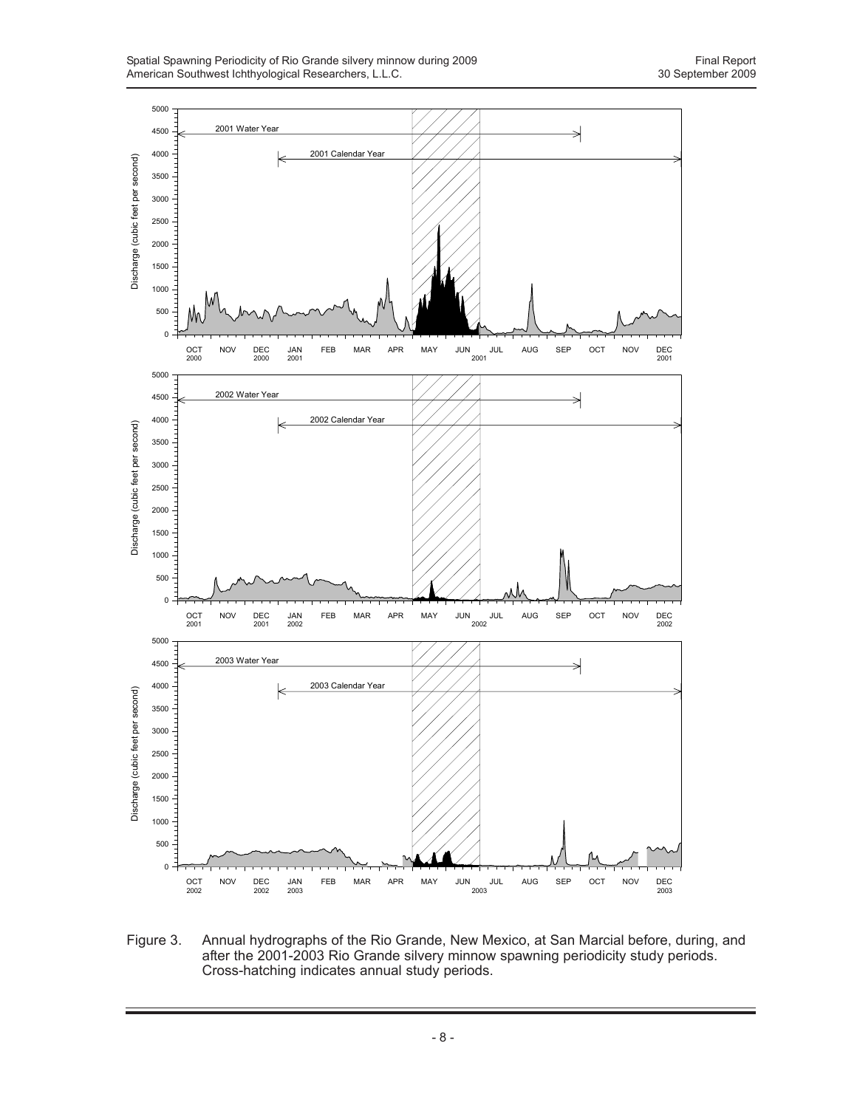

Figure 3. Annual hydrographs of the Rio Grande, New Mexico, at San Marcial before, during, and after the 2001-2003 Rio Grande silvery minnow spawning periodicity study periods. Cross-hatching indicates annual study periods.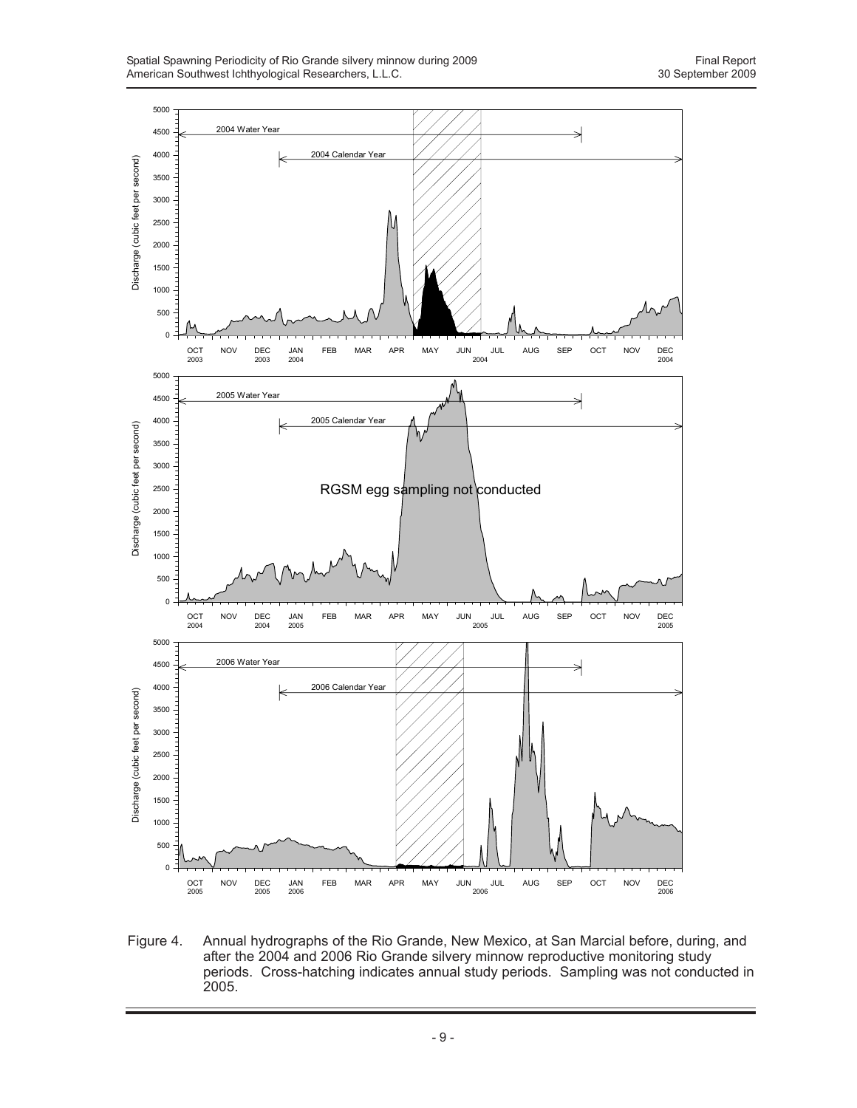

Figure 4. Annual hydrographs of the Rio Grande, New Mexico, at San Marcial before, during, and after the 2004 and 2006 Rio Grande silvery minnow reproductive monitoring study periods. Cross-hatching indicates annual study periods. Sampling was not conducted in 2005.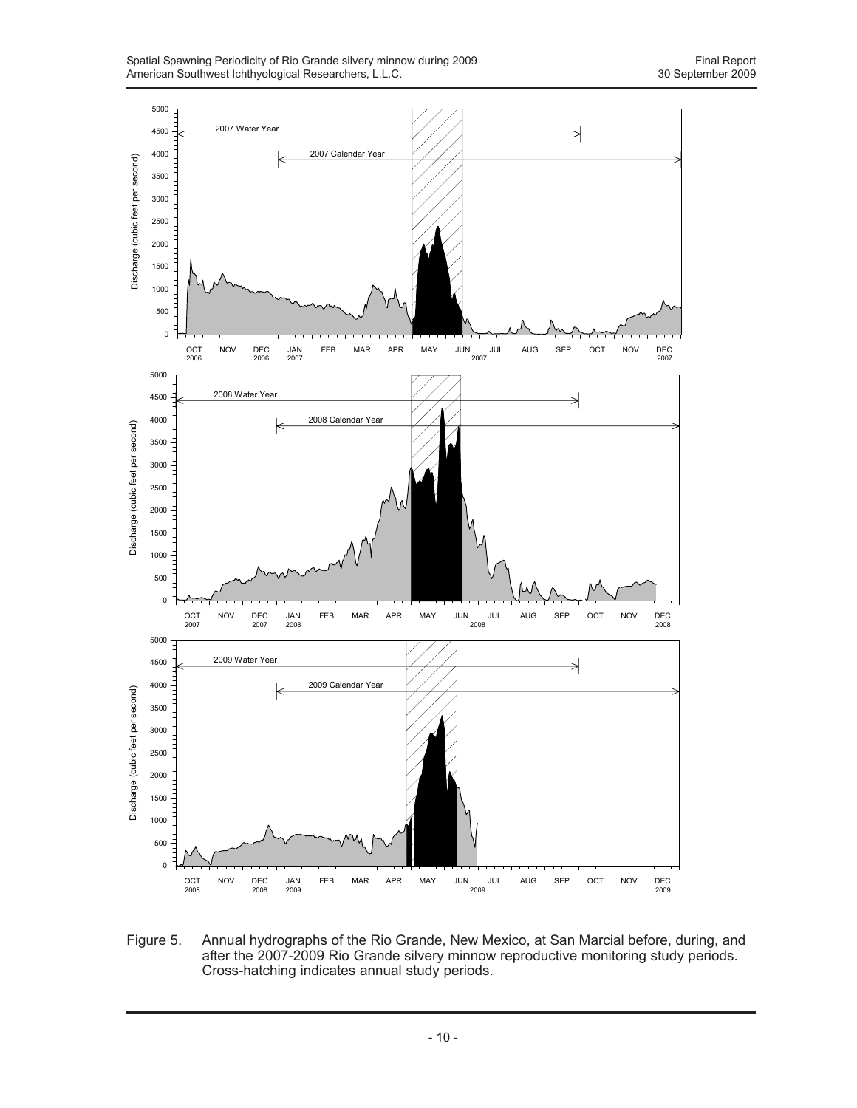

Figure 5. Annual hydrographs of the Rio Grande, New Mexico, at San Marcial before, during, and after the 2007-2009 Rio Grande silvery minnow reproductive monitoring study periods. Cross-hatching indicates annual study periods.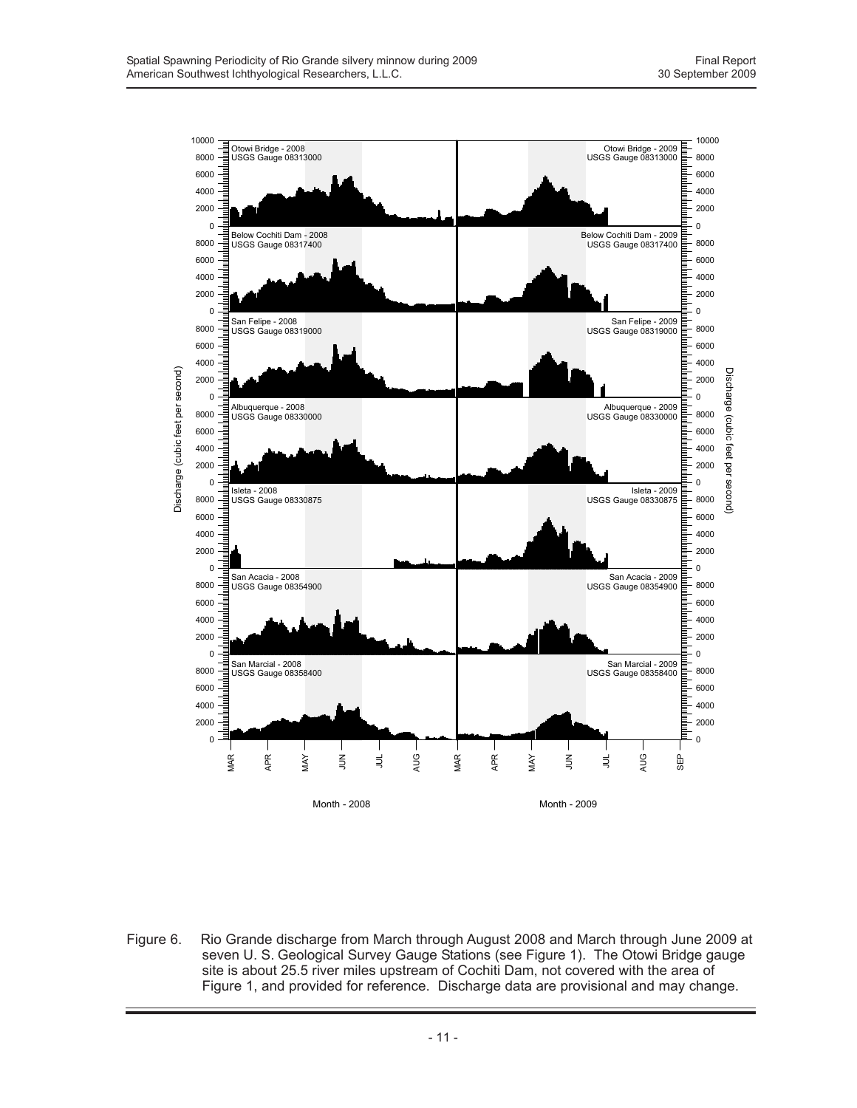

Figure 6. Rio Grande discharge from March through August 2008 and March through June 2009 at seven U. S. Geological Survey Gauge Stations (see Figure 1). The Otowi Bridge gauge site is about 25.5 river miles upstream of Cochiti Dam, not covered with the area of Figure 1, and provided for reference. Discharge data are provisional and may change.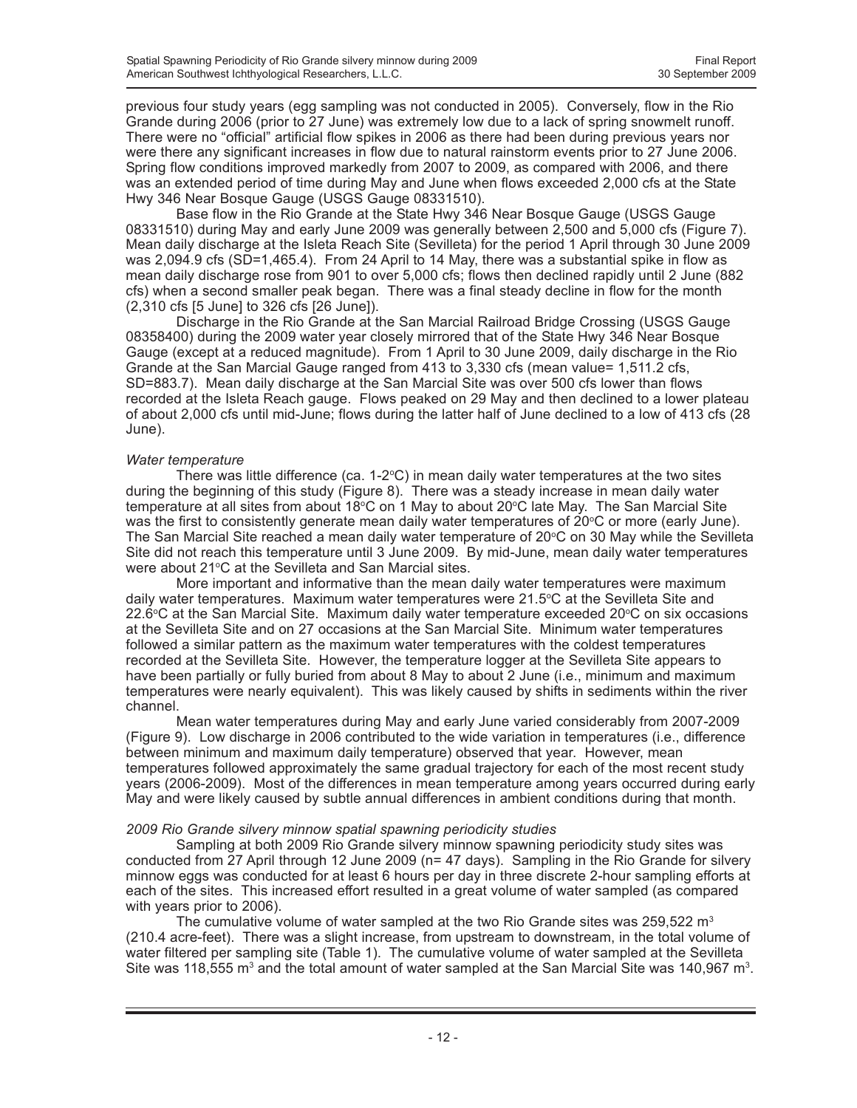previous four study years (egg sampling was not conducted in 2005). Conversely, flow in the Rio Grande during 2006 (prior to 27 June) was extremely low due to a lack of spring snowmelt runoff. There were no "official" artificial flow spikes in 2006 as there had been during previous years nor were there any significant increases in flow due to natural rainstorm events prior to 27 June 2006. Spring flow conditions improved markedly from 2007 to 2009, as compared with 2006, and there was an extended period of time during May and June when flows exceeded 2,000 cfs at the State Hwy 346 Near Bosque Gauge (USGS Gauge 08331510).

Base flow in the Rio Grande at the State Hwy 346 Near Bosque Gauge (USGS Gauge 08331510) during May and early June 2009 was generally between 2,500 and 5,000 cfs (Figure 7). Mean daily discharge at the Isleta Reach Site (Sevilleta) for the period 1 April through 30 June 2009 was 2,094.9 cfs (SD=1,465.4). From 24 April to 14 May, there was a substantial spike in flow as mean daily discharge rose from 901 to over 5,000 cfs; flows then declined rapidly until 2 June (882 cfs) when a second smaller peak began. There was a final steady decline in flow for the month (2,310 cfs [5 June] to 326 cfs [26 June]).

Discharge in the Rio Grande at the San Marcial Railroad Bridge Crossing (USGS Gauge 08358400) during the 2009 water year closely mirrored that of the State Hwy 346 Near Bosque Gauge (except at a reduced magnitude). From 1 April to 30 June 2009, daily discharge in the Rio Grande at the San Marcial Gauge ranged from 413 to 3,330 cfs (mean value= 1,511.2 cfs, SD=883.7). Mean daily discharge at the San Marcial Site was over 500 cfs lower than flows recorded at the Isleta Reach gauge. Flows peaked on 29 May and then declined to a lower plateau of about 2,000 cfs until mid-June; flows during the latter half of June declined to a low of 413 cfs (28 June).

#### *Water temperature*

There was little difference (ca.  $1\text{-}2^{\circ}\text{C}$ ) in mean daily water temperatures at the two sites during the beginning of this study (Figure 8). There was a steady increase in mean daily water temperature at all sites from about 18°C on 1 May to about 20°C late May. The San Marcial Site was the first to consistently generate mean daily water temperatures of  $20^{\circ}$ C or more (early June). The San Marcial Site reached a mean daily water temperature of 20°C on 30 May while the Sevilleta Site did not reach this temperature until 3 June 2009. By mid-June, mean daily water temperatures were about 21°C at the Sevilleta and San Marcial sites.

More important and informative than the mean daily water temperatures were maximum daily water temperatures. Maximum water temperatures were 21.5°C at the Sevilleta Site and 22.6°C at the San Marcial Site. Maximum daily water temperature exceeded 20°C on six occasions at the Sevilleta Site and on 27 occasions at the San Marcial Site. Minimum water temperatures followed a similar pattern as the maximum water temperatures with the coldest temperatures recorded at the Sevilleta Site. However, the temperature logger at the Sevilleta Site appears to have been partially or fully buried from about 8 May to about 2 June (i.e., minimum and maximum temperatures were nearly equivalent). This was likely caused by shifts in sediments within the river channel.

Mean water temperatures during May and early June varied considerably from 2007-2009 (Figure 9). Low discharge in 2006 contributed to the wide variation in temperatures (i.e., difference between minimum and maximum daily temperature) observed that year. However, mean temperatures followed approximately the same gradual trajectory for each of the most recent study years (2006-2009). Most of the differences in mean temperature among years occurred during early May and were likely caused by subtle annual differences in ambient conditions during that month.

#### *2009 Rio Grande silvery minnow spatial spawning periodicity studies*

Sampling at both 2009 Rio Grande silvery minnow spawning periodicity study sites was conducted from 27 April through 12 June 2009 (n= 47 days). Sampling in the Rio Grande for silvery minnow eggs was conducted for at least 6 hours per day in three discrete 2-hour sampling efforts at each of the sites. This increased effort resulted in a great volume of water sampled (as compared with years prior to 2006).

The cumulative volume of water sampled at the two Rio Grande sites was 259,522  $m<sup>3</sup>$ (210.4 acre-feet). There was a slight increase, from upstream to downstream, in the total volume of water filtered per sampling site (Table 1). The cumulative volume of water sampled at the Sevilleta Site was 118,555 m<sup>3</sup> and the total amount of water sampled at the San Marcial Site was 140,967 m<sup>3</sup>.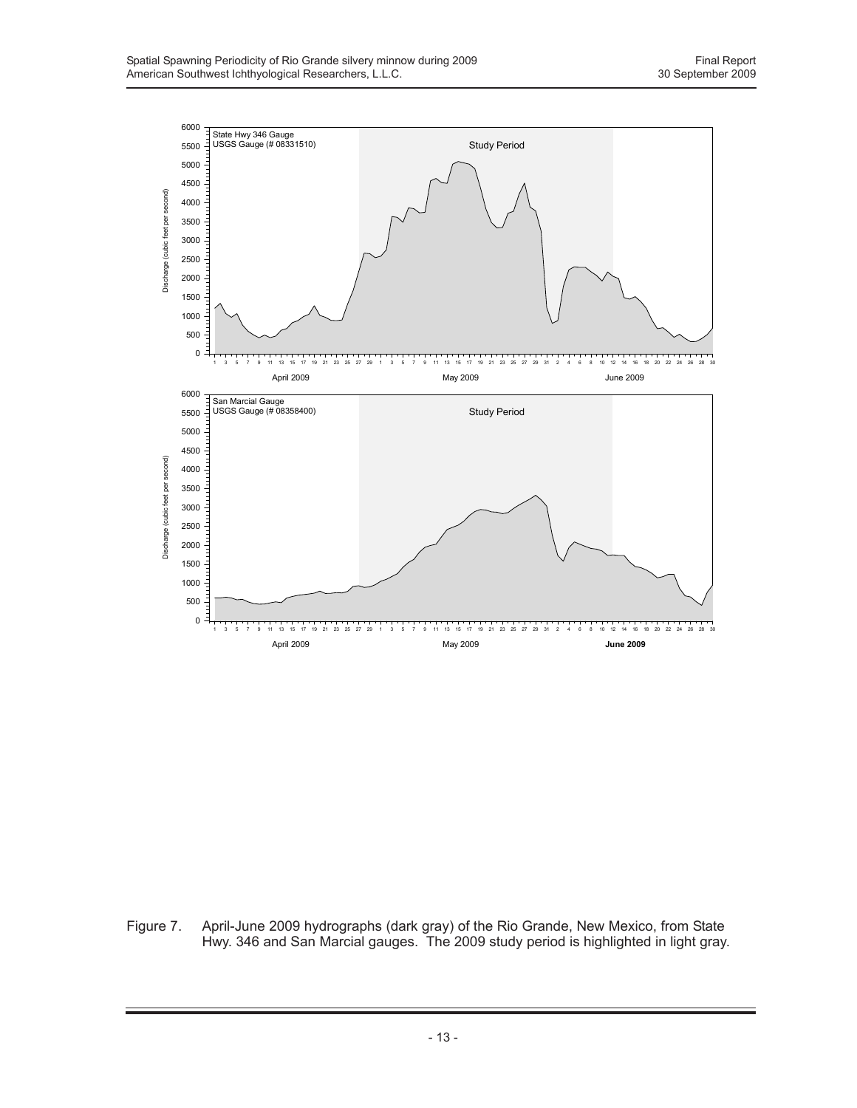

Figure 7. April-June 2009 hydrographs (dark gray) of the Rio Grande, New Mexico, from State Hwy. 346 and San Marcial gauges. The 2009 study period is highlighted in light gray.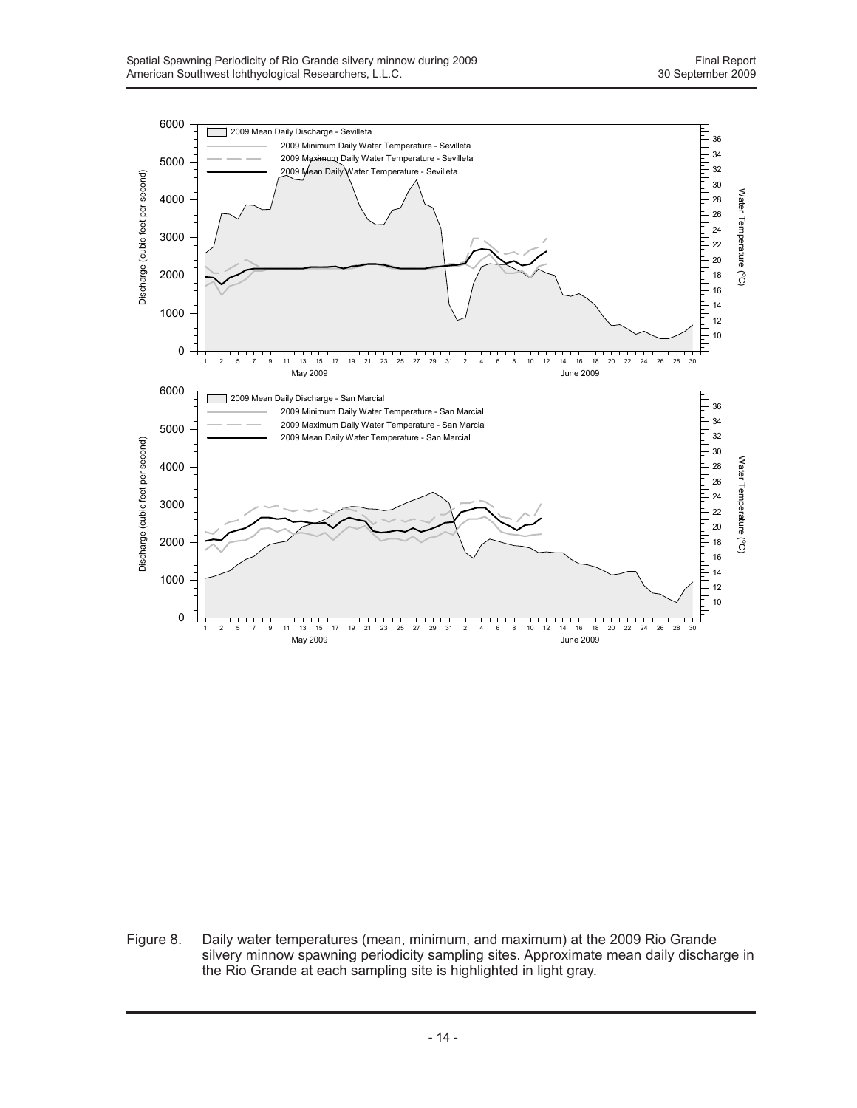

Figure 8. Daily water temperatures (mean, minimum, and maximum) at the 2009 Rio Grande silvery minnow spawning periodicity sampling sites. Approximate mean daily discharge in the Rio Grande at each sampling site is highlighted in light gray.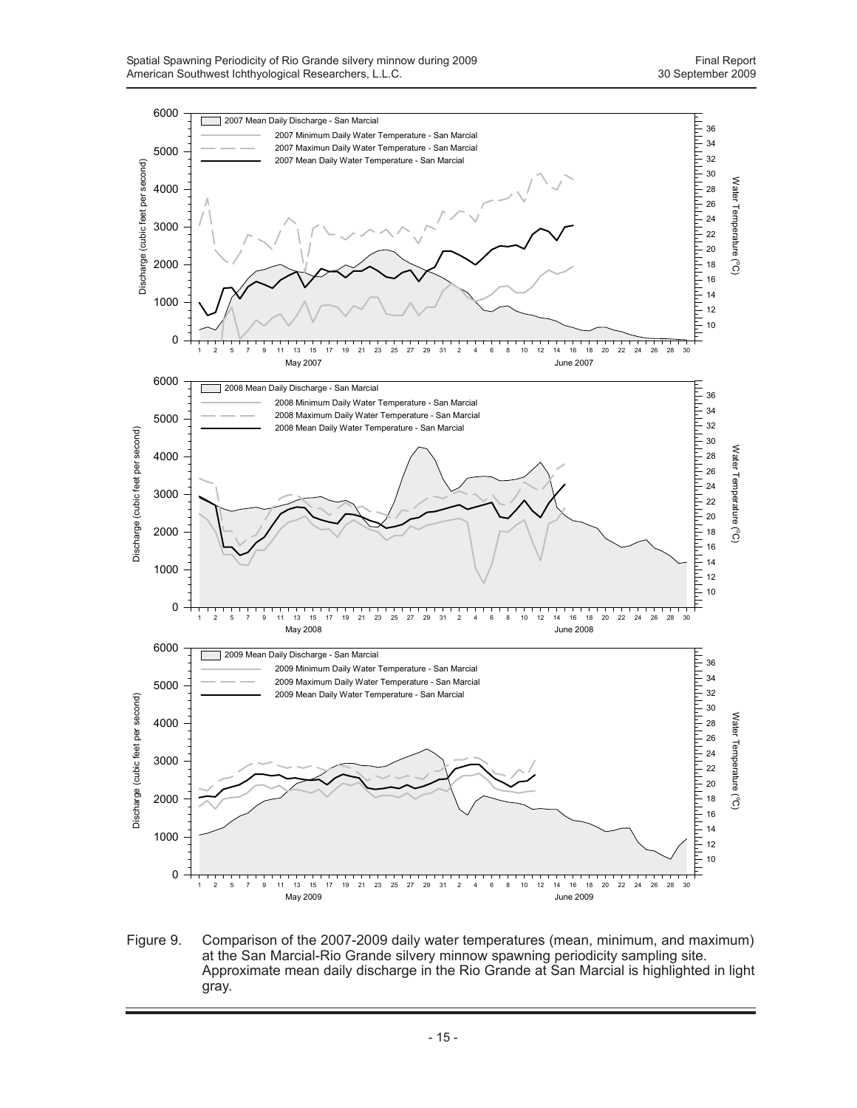

Figure 9. Comparison of the 2007-2009 daily water temperatures (mean, minimum, and maximum) at the San Marcial-Rio Grande silvery minnow spawning periodicity sampling site. Approximate mean daily discharge in the Rio Grande at San Marcial is highlighted in light gray.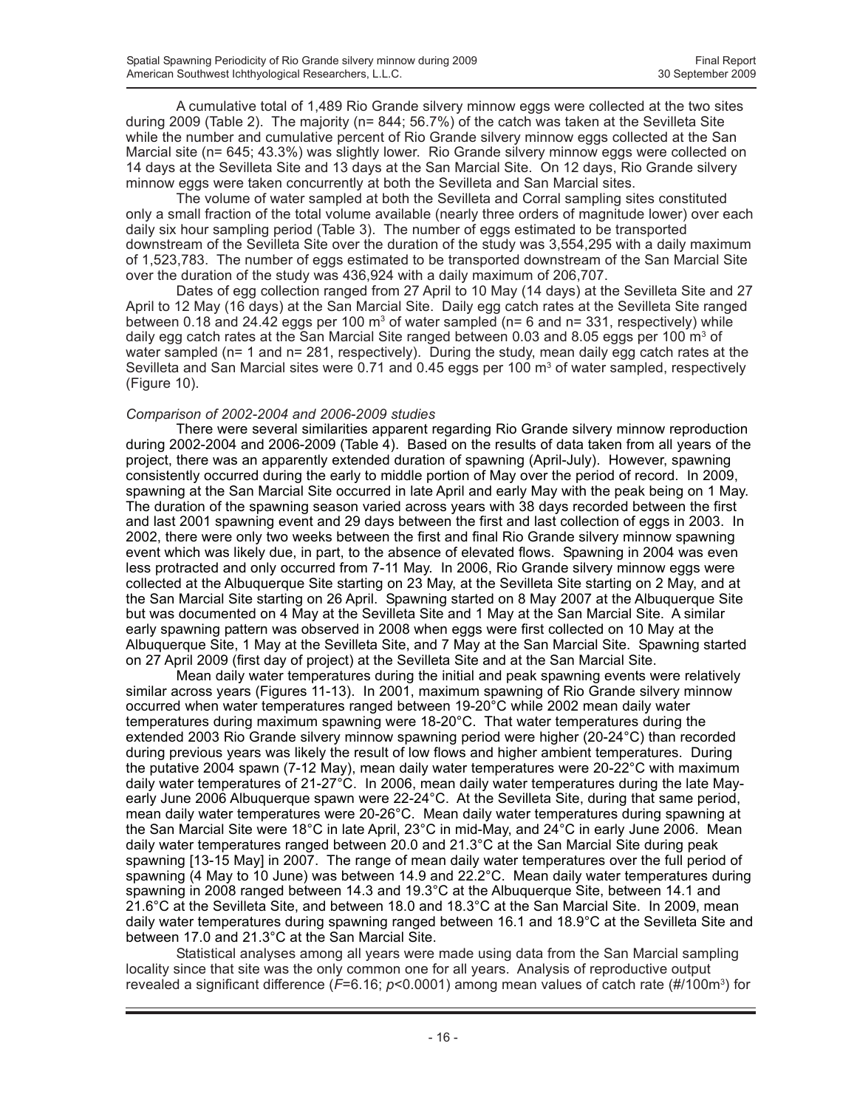A cumulative total of 1,489 Rio Grande silvery minnow eggs were collected at the two sites during 2009 (Table 2). The majority (n= 844; 56.7%) of the catch was taken at the Sevilleta Site while the number and cumulative percent of Rio Grande silvery minnow eggs collected at the San Marcial site (n= 645; 43.3%) was slightly lower. Rio Grande silvery minnow eggs were collected on 14 days at the Sevilleta Site and 13 days at the San Marcial Site. On 12 days, Rio Grande silvery minnow eggs were taken concurrently at both the Sevilleta and San Marcial sites.

The volume of water sampled at both the Sevilleta and Corral sampling sites constituted only a small fraction of the total volume available (nearly three orders of magnitude lower) over each daily six hour sampling period (Table 3). The number of eggs estimated to be transported downstream of the Sevilleta Site over the duration of the study was 3,554,295 with a daily maximum of 1,523,783. The number of eggs estimated to be transported downstream of the San Marcial Site over the duration of the study was 436,924 with a daily maximum of 206,707.

Dates of egg collection ranged from 27 April to 10 May (14 days) at the Sevilleta Site and 27 April to 12 May (16 days) at the San Marcial Site. Daily egg catch rates at the Sevilleta Site ranged between 0.18 and 24.42 eggs per 100 m<sup>3</sup> of water sampled (n= 6 and n= 331, respectively) while daily egg catch rates at the San Marcial Site ranged between 0.03 and 8.05 eggs per 100 m<sup>3</sup> of water sampled (n= 1 and n= 281, respectively). During the study, mean daily egg catch rates at the Sevilleta and San Marcial sites were 0.71 and 0.45 eggs per 100  $\text{m}^3$  of water sampled, respectively (Figure 10).

#### *Comparison of 2002-2004 and 2006-2009 studies*

There were several similarities apparent regarding Rio Grande silvery minnow reproduction during 2002-2004 and 2006-2009 (Table 4). Based on the results of data taken from all years of the project, there was an apparently extended duration of spawning (April-July). However, spawning consistently occurred during the early to middle portion of May over the period of record. In 2009, spawning at the San Marcial Site occurred in late April and early May with the peak being on 1 May. The duration of the spawning season varied across years with 38 days recorded between the first and last 2001 spawning event and 29 days between the first and last collection of eggs in 2003. In 2002, there were only two weeks between the first and final Rio Grande silvery minnow spawning event which was likely due, in part, to the absence of elevated flows. Spawning in 2004 was even less protracted and only occurred from 7-11 May. In 2006, Rio Grande silvery minnow eggs were collected at the Albuquerque Site starting on 23 May, at the Sevilleta Site starting on 2 May, and at the San Marcial Site starting on 26 April. Spawning started on 8 May 2007 at the Albuquerque Site but was documented on 4 May at the Sevilleta Site and 1 May at the San Marcial Site. A similar early spawning pattern was observed in 2008 when eggs were first collected on 10 May at the Albuquerque Site, 1 May at the Sevilleta Site, and 7 May at the San Marcial Site. Spawning started on 27 April 2009 (first day of project) at the Sevilleta Site and at the San Marcial Site.

Mean daily water temperatures during the initial and peak spawning events were relatively similar across years (Figures 11-13). In 2001, maximum spawning of Rio Grande silvery minnow occurred when water temperatures ranged between 19-20°C while 2002 mean daily water temperatures during maximum spawning were 18-20°C. That water temperatures during the extended 2003 Rio Grande silvery minnow spawning period were higher (20-24°C) than recorded during previous years was likely the result of low flows and higher ambient temperatures. During the putative 2004 spawn (7-12 May), mean daily water temperatures were 20-22°C with maximum daily water temperatures of 21-27°C. In 2006, mean daily water temperatures during the late Mayearly June 2006 Albuquerque spawn were 22-24°C. At the Sevilleta Site, during that same period, mean daily water temperatures were 20-26°C. Mean daily water temperatures during spawning at the San Marcial Site were 18°C in late April, 23°C in mid-May, and 24°C in early June 2006. Mean daily water temperatures ranged between 20.0 and 21.3°C at the San Marcial Site during peak spawning [13-15 May] in 2007. The range of mean daily water temperatures over the full period of spawning (4 May to 10 June) was between 14.9 and 22.2°C. Mean daily water temperatures during spawning in 2008 ranged between 14.3 and 19.3°C at the Albuquerque Site, between 14.1 and 21.6°C at the Sevilleta Site, and between 18.0 and 18.3°C at the San Marcial Site. In 2009, mean daily water temperatures during spawning ranged between 16.1 and 18.9°C at the Sevilleta Site and between 17.0 and 21.3°C at the San Marcial Site.

Statistical analyses among all years were made using data from the San Marcial sampling locality since that site was the only common one for all years. Analysis of reproductive output revealed a significant difference (*F*=6.16; *p*<0.0001) among mean values of catch rate (#/100m3 ) for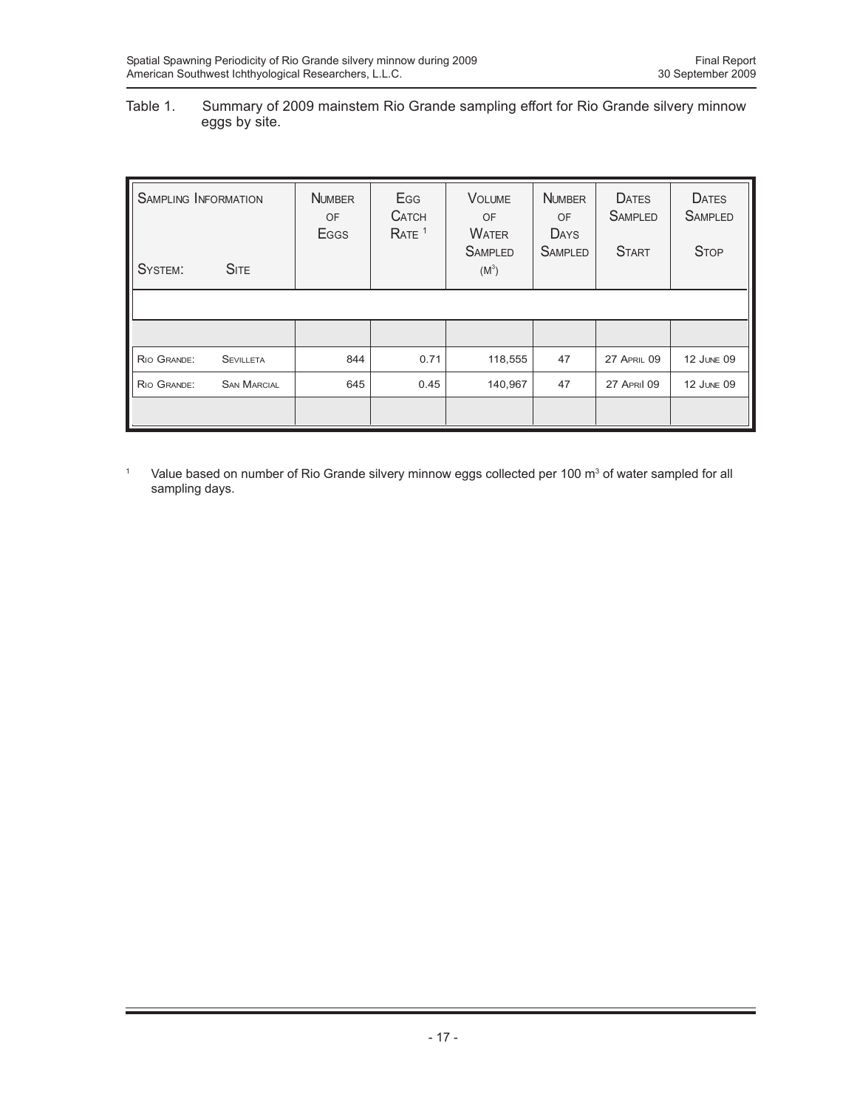### Table 1. Summary of 2009 mainstem Rio Grande sampling effort for Rio Grande silvery minnow eggs by site.

| <b>SAMPLING INFORMATION</b> |                    | <b>NUMBER</b><br>OF<br>Eggs | Egg<br><b>CATCH</b><br>RATE <sup>1</sup> | <b>VOLUME</b><br><b>OF</b><br><b>WATER</b><br><b>SAMPLED</b> | <b>NUMBER</b><br>OF<br><b>DAYS</b><br><b>SAMPLED</b> | <b>DATES</b><br><b>SAMPLED</b><br><b>START</b> | <b>DATES</b><br><b>SAMPLED</b><br><b>STOP</b> |
|-----------------------------|--------------------|-----------------------------|------------------------------------------|--------------------------------------------------------------|------------------------------------------------------|------------------------------------------------|-----------------------------------------------|
| SYSTEM:                     | <b>SITE</b>        |                             |                                          | $(M^3)$                                                      |                                                      |                                                |                                               |
|                             |                    |                             |                                          |                                                              |                                                      |                                                |                                               |
|                             |                    |                             |                                          |                                                              |                                                      |                                                |                                               |
| RIO GRANDE:                 | <b>SEVILLETA</b>   | 844                         | 0.71                                     | 118,555                                                      | 47                                                   | <b>27 APRIL 09</b>                             | 12 JUNE 09                                    |
| RIO GRANDE:                 | <b>SAN MARCIAL</b> | 645                         | 0.45                                     | 140,967                                                      | 47                                                   | <b>27 APRIL 09</b>                             | <b>12 JUNE 09</b>                             |
|                             |                    |                             |                                          |                                                              |                                                      |                                                |                                               |

<sup>1</sup> Value based on number of Rio Grande silvery minnow eggs collected per 100 m<sup>3</sup> of water sampled for all sampling days.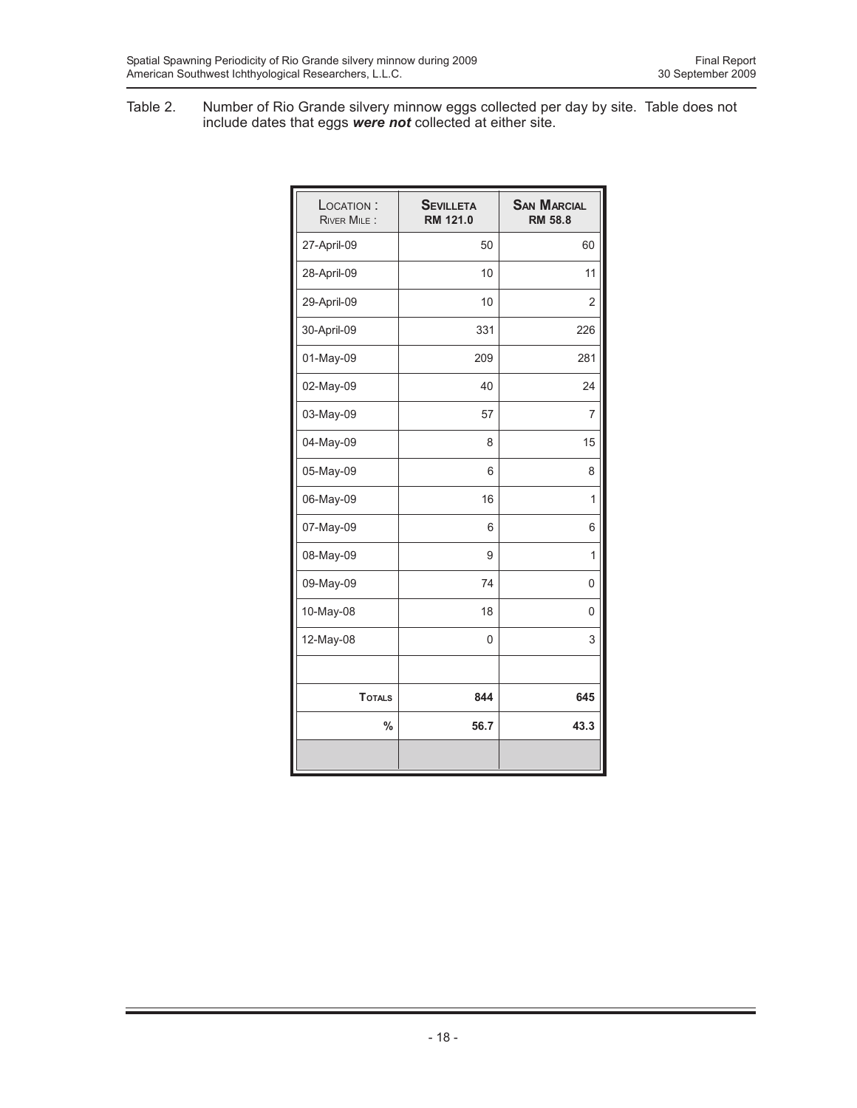Table 2. Number of Rio Grande silvery minnow eggs collected per day by site. Table does not include dates that eggs *were not* collected at either site.

| LOCATION:<br><b>RIVER MILE:</b> | <b>SEVILLETA</b><br>RM 121.0 | <b>SAN MARCIAL</b><br><b>RM 58.8</b> |
|---------------------------------|------------------------------|--------------------------------------|
| 27-April-09                     | 50                           | 60                                   |
| 28-April-09                     | 10                           | 11                                   |
| 29-April-09                     | 10                           | $\overline{2}$                       |
| 30-April-09                     | 331                          | 226                                  |
| 01-May-09                       | 209                          | 281                                  |
| 02-May-09                       | 40                           | 24                                   |
| 03-May-09                       | 57                           | 7                                    |
| 04-May-09                       | 8                            | 15                                   |
| 05-May-09                       | 6                            | 8                                    |
| 06-May-09                       | 16                           | 1                                    |
| 07-May-09                       | 6                            | 6                                    |
| 08-May-09                       | 9                            | 1                                    |
| 09-May-09                       | 74                           | 0                                    |
| 10-May-08                       | 18                           | 0                                    |
| 12-May-08                       | 0                            | 3                                    |
|                                 |                              |                                      |
| <b>TOTALS</b>                   | 844                          | 645                                  |
| $\%$                            | 56.7                         | 43.3                                 |
|                                 |                              |                                      |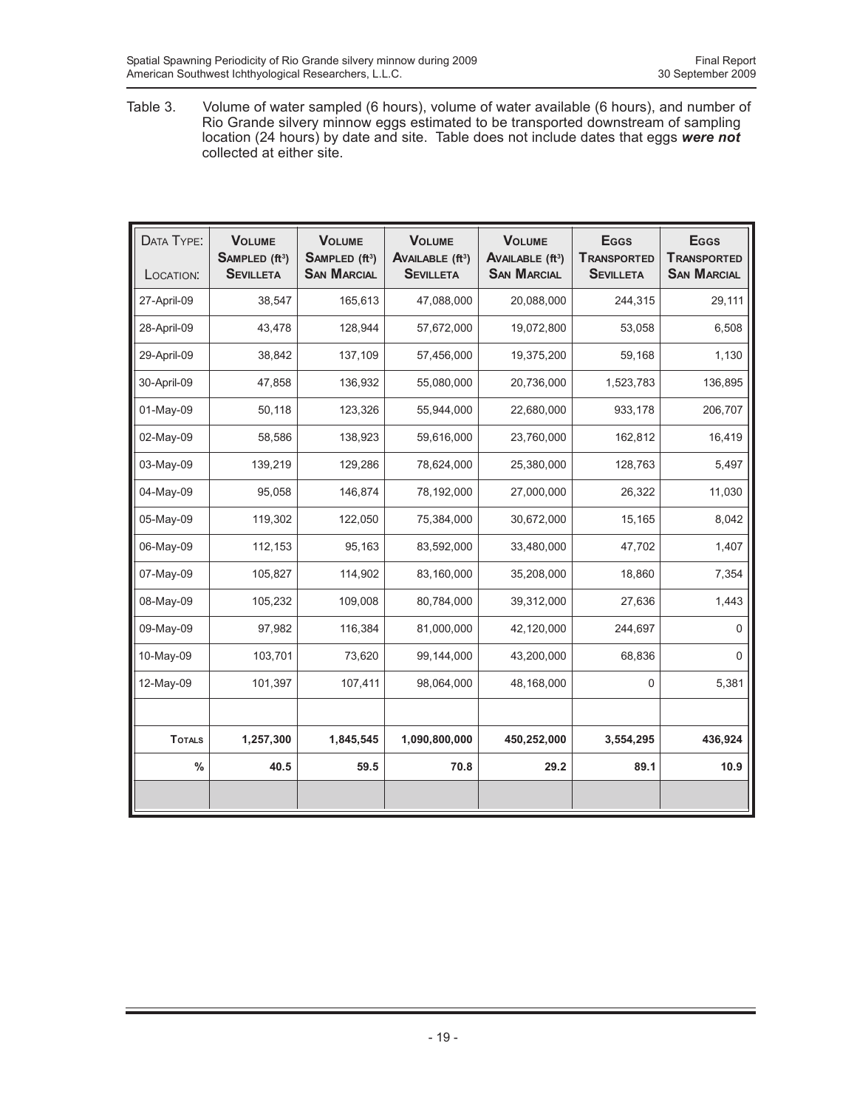Table 3. Volume of water sampled (6 hours), volume of water available (6 hours), and number of Rio Grande silvery minnow eggs estimated to be transported downstream of sampling location (24 hours) by date and site. Table does not include dates that eggs *were not* collected at either site.

| DATA TYPE:<br>LOCATION: | <b>VOLUME</b><br>SAMPLED (ft <sup>3</sup> )<br><b>SEVILLETA</b> | <b>VOLUME</b><br>SAMPLED (ft <sup>3</sup> )<br><b>SAN MARCIAL</b> | <b>VOLUME</b><br><b>AVAILABLE (ft3)</b><br><b>SEVILLETA</b> | <b>VOLUME</b><br><b>AVAILABLE (ft3)</b><br><b>SAN MARCIAL</b> | <b>E</b> GGS<br><b>TRANSPORTED</b><br><b>SEVILLETA</b> | <b>E</b> GGS<br><b>TRANSPORTED</b><br><b>SAN MARCIAL</b> |
|-------------------------|-----------------------------------------------------------------|-------------------------------------------------------------------|-------------------------------------------------------------|---------------------------------------------------------------|--------------------------------------------------------|----------------------------------------------------------|
| 27-April-09             | 38,547                                                          | 165,613                                                           | 47,088,000                                                  | 20,088,000                                                    | 244,315                                                | 29,111                                                   |
| 28-April-09             | 43,478                                                          | 128,944                                                           | 57,672,000                                                  | 19,072,800                                                    | 53,058                                                 | 6,508                                                    |
| 29-April-09             | 38,842                                                          | 137,109                                                           | 57,456,000                                                  | 19,375,200                                                    | 59,168                                                 | 1,130                                                    |
| 30-April-09             | 47,858                                                          | 136,932                                                           | 55,080,000                                                  | 20,736,000                                                    | 1,523,783                                              | 136,895                                                  |
| 01-May-09               | 50,118                                                          | 123,326                                                           | 55,944,000                                                  | 22,680,000                                                    | 933,178                                                | 206,707                                                  |
| 02-May-09               | 58,586                                                          | 138,923                                                           | 59,616,000                                                  | 23,760,000                                                    | 162,812                                                | 16,419                                                   |
| 03-May-09               | 139,219                                                         | 129,286                                                           | 78,624,000                                                  | 25,380,000                                                    | 128,763                                                | 5,497                                                    |
| 04-May-09               | 95,058                                                          | 146,874                                                           | 78,192,000                                                  | 27,000,000                                                    | 26,322                                                 | 11,030                                                   |
| 05-May-09               | 119,302                                                         | 122,050                                                           | 75,384,000                                                  | 30,672,000                                                    | 15,165                                                 | 8,042                                                    |
| 06-May-09               | 112,153                                                         | 95,163                                                            | 83,592,000                                                  | 33,480,000                                                    | 47,702                                                 | 1,407                                                    |
| 07-May-09               | 105,827                                                         | 114,902                                                           | 83,160,000                                                  | 35,208,000                                                    | 18,860                                                 | 7,354                                                    |
| 08-May-09               | 105,232                                                         | 109,008                                                           | 80,784,000                                                  | 39,312,000                                                    | 27,636                                                 | 1,443                                                    |
| 09-May-09               | 97,982                                                          | 116,384                                                           | 81,000,000                                                  | 42,120,000                                                    | 244,697                                                | 0                                                        |
| 10-May-09               | 103,701                                                         | 73,620                                                            | 99,144,000                                                  | 43,200,000                                                    | 68,836                                                 | 0                                                        |
| 12-May-09               | 101,397                                                         | 107,411                                                           | 98,064,000                                                  | 48,168,000                                                    | 0                                                      | 5,381                                                    |
|                         |                                                                 |                                                                   |                                                             |                                                               |                                                        |                                                          |
| <b>TOTALS</b>           | 1,257,300                                                       | 1,845,545                                                         | 1,090,800,000                                               | 450,252,000                                                   | 3,554,295                                              | 436,924                                                  |
| $\frac{0}{0}$           | 40.5                                                            | 59.5                                                              | 70.8                                                        | 29.2                                                          | 89.1                                                   | 10.9                                                     |
|                         |                                                                 |                                                                   |                                                             |                                                               |                                                        |                                                          |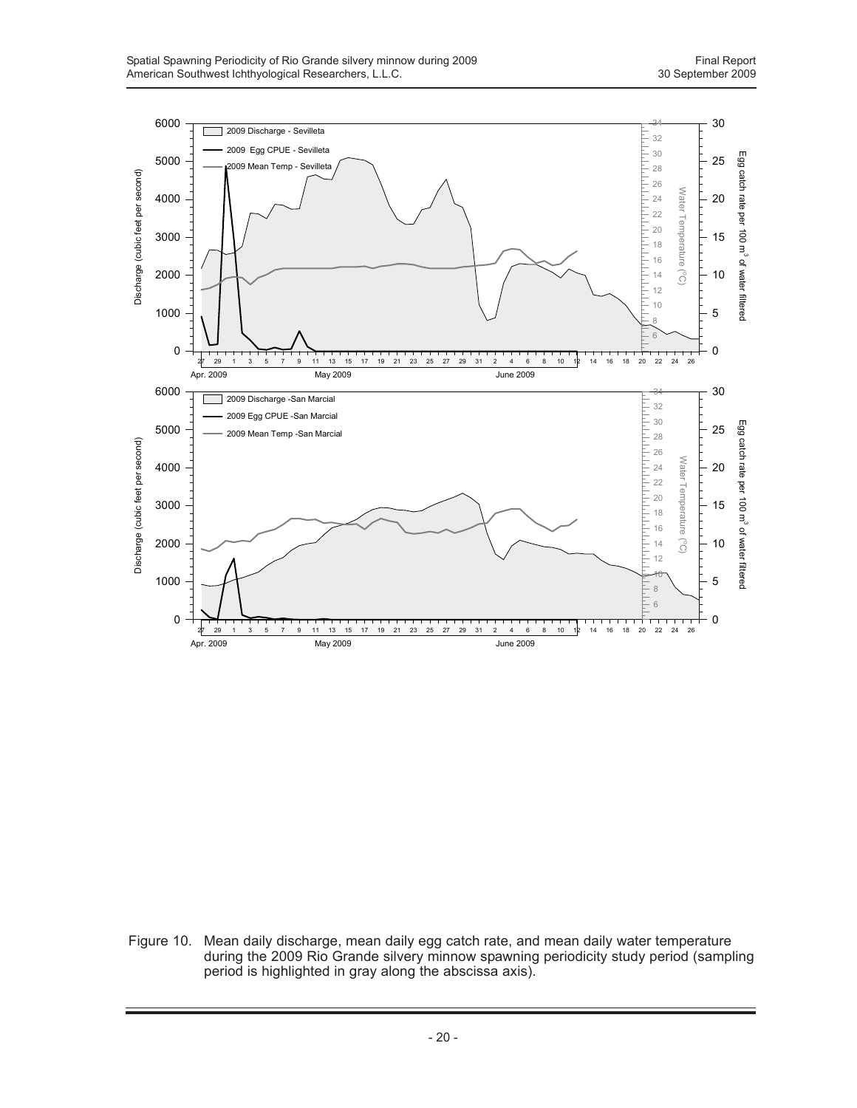

Figure 10. Mean daily discharge, mean daily egg catch rate, and mean daily water temperature during the 2009 Rio Grande silvery minnow spawning periodicity study period (sampling period is highlighted in gray along the abscissa axis).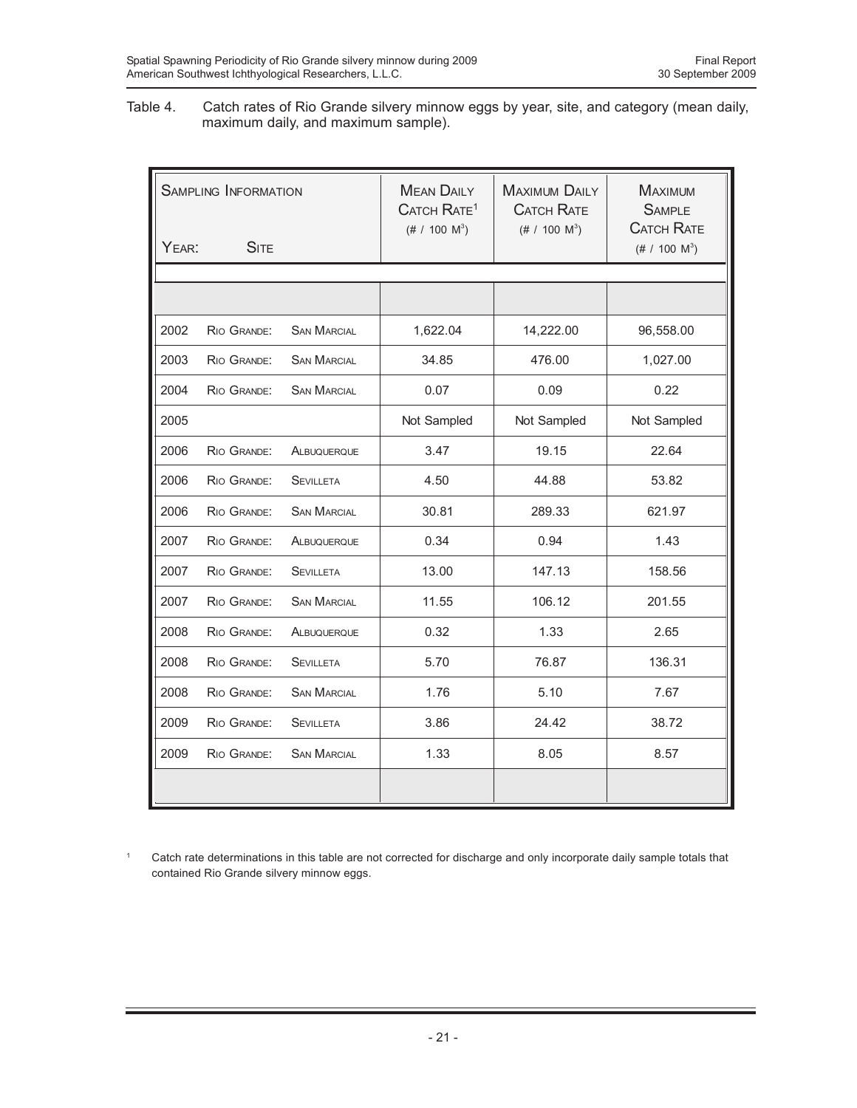Table 4. Catch rates of Rio Grande silvery minnow eggs by year, site, and category (mean daily, maximum daily, and maximum sample).

| <b>SAMPLING INFORMATION</b> |             |                    | <b>MEAN DAILY</b><br>CATCH RATE <sup>1</sup><br>$(\# 7 100 M^3)$ | <b>MAXIMUM DAILY</b><br><b>CATCH RATE</b><br>$(\# 7 100 M^3)$ | <b>MAXIMUM</b><br><b>SAMPLE</b><br><b>CATCH RATE</b> |
|-----------------------------|-------------|--------------------|------------------------------------------------------------------|---------------------------------------------------------------|------------------------------------------------------|
| YEAR:                       | <b>SITE</b> |                    |                                                                  |                                                               | $(\# 7 100 M^3)$                                     |
|                             |             |                    |                                                                  |                                                               |                                                      |
|                             |             |                    |                                                                  |                                                               |                                                      |
| 2002                        | RIO GRANDE: | <b>SAN MARCIAL</b> | 1,622.04                                                         | 14,222.00                                                     | 96,558.00                                            |
| 2003                        | RIO GRANDE: | <b>SAN MARCIAL</b> | 34.85                                                            | 476.00                                                        | 1,027.00                                             |
| 2004                        | RIO GRANDE: | <b>SAN MARCIAL</b> | 0.07                                                             | 0.09                                                          | 0.22                                                 |
| 2005                        |             |                    | Not Sampled                                                      | Not Sampled                                                   | Not Sampled                                          |
| 2006                        | RIO GRANDE: | ALBUQUERQUE        | 3.47                                                             | 19.15                                                         | 22.64                                                |
| 2006                        | RIO GRANDE: | <b>SEVILLETA</b>   | 4.50                                                             | 44.88                                                         | 53.82                                                |
| 2006                        | RIO GRANDE: | <b>SAN MARCIAL</b> | 30.81                                                            | 289.33                                                        | 621.97                                               |
| 2007                        | RIO GRANDE: | ALBUQUERQUE        | 0.34                                                             | 0.94                                                          | 1.43                                                 |
| 2007                        | RIO GRANDE: | <b>SEVILLETA</b>   | 13.00                                                            | 147.13                                                        | 158.56                                               |
| 2007                        | RIO GRANDE: | <b>SAN MARCIAL</b> | 11.55                                                            | 106.12                                                        | 201.55                                               |
| 2008                        | RIO GRANDE: | ALBUQUERQUE        | 0.32                                                             | 1.33                                                          | 2.65                                                 |
| 2008                        | RIO GRANDE: | <b>SEVILLETA</b>   | 5.70                                                             | 76.87                                                         | 136.31                                               |
| 2008                        | RIO GRANDE: | <b>SAN MARCIAL</b> | 1.76                                                             | 5.10                                                          | 7.67                                                 |
| 2009                        | RIO GRANDE: | <b>SEVILLETA</b>   | 3.86                                                             | 24.42                                                         | 38.72                                                |
| 2009                        | RIO GRANDE: | <b>SAN MARCIAL</b> | 1.33                                                             | 8.05                                                          | 8.57                                                 |
|                             |             |                    |                                                                  |                                                               |                                                      |

<sup>1</sup> Catch rate determinations in this table are not corrected for discharge and only incorporate daily sample totals that contained Rio Grande silvery minnow eggs.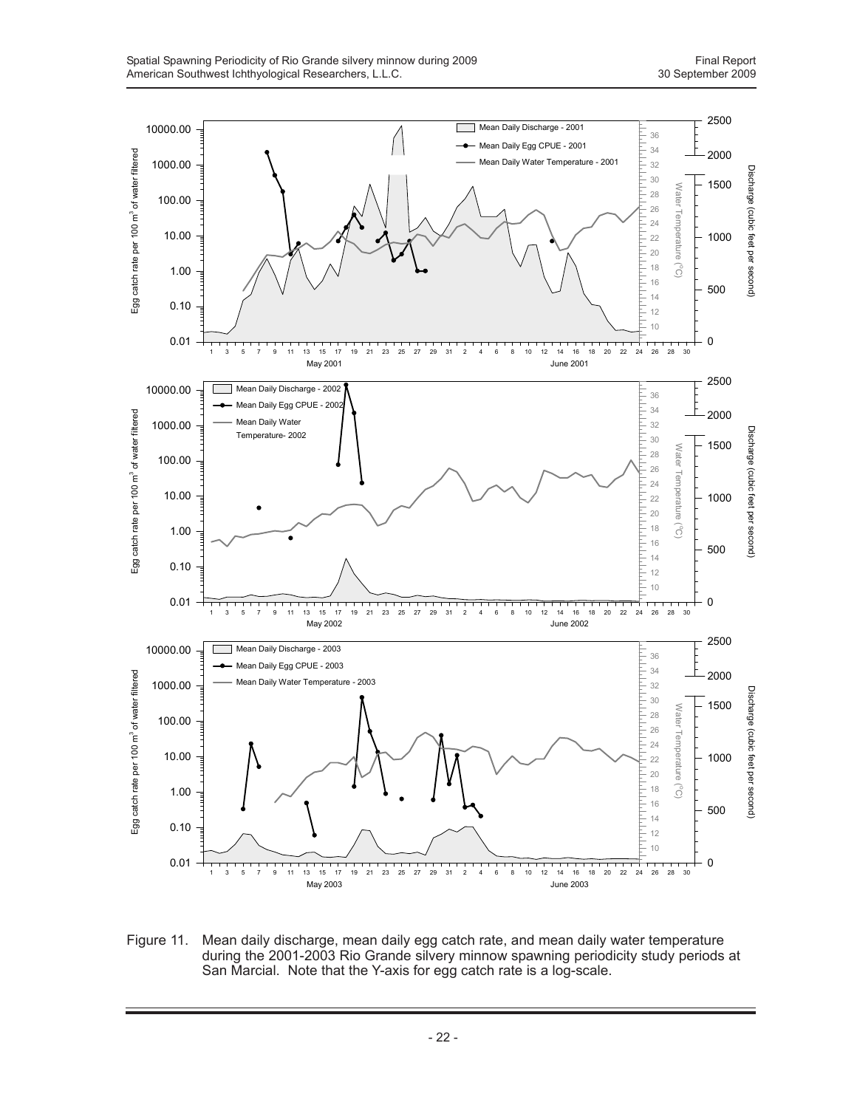

Figure 11. Mean daily discharge, mean daily egg catch rate, and mean daily water temperature during the 2001-2003 Rio Grande silvery minnow spawning periodicity study periods at San Marcial. Note that the Y-axis for egg catch rate is a log-scale.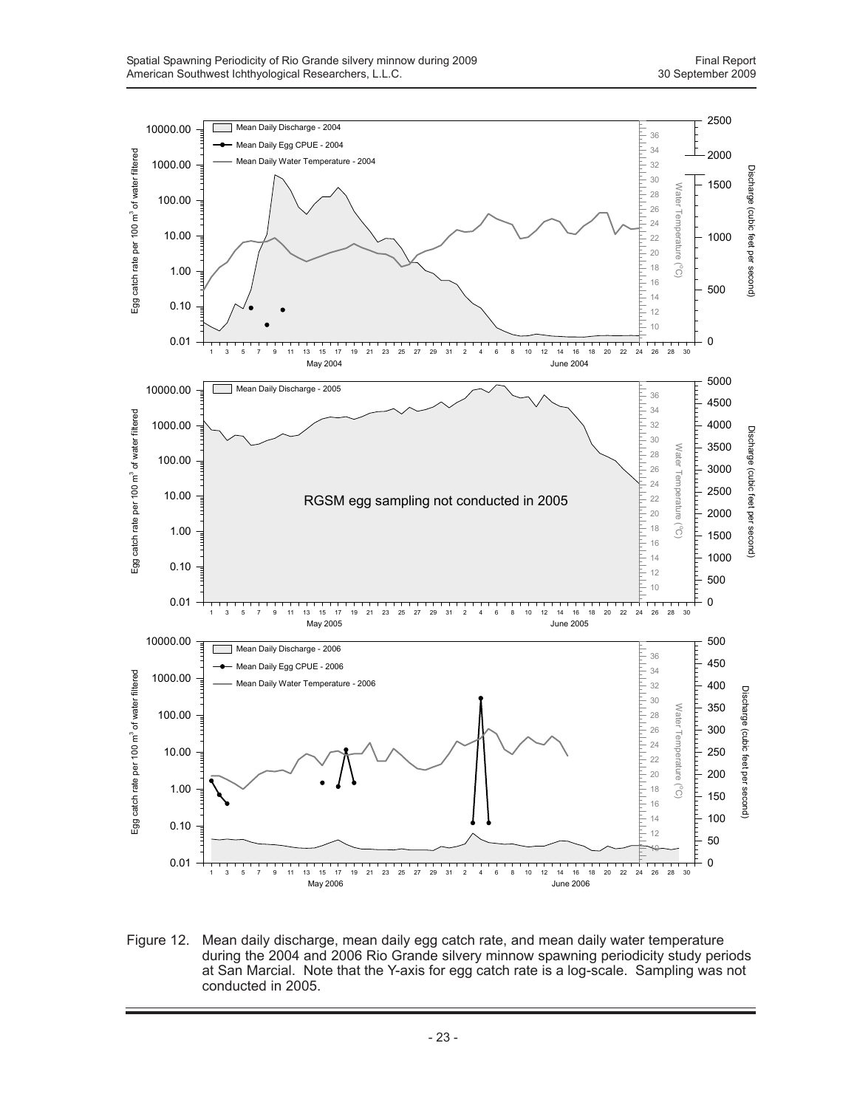

Figure 12. Mean daily discharge, mean daily egg catch rate, and mean daily water temperature during the 2004 and 2006 Rio Grande silvery minnow spawning periodicity study periods at San Marcial. Note that the Y-axis for egg catch rate is a log-scale. Sampling was not conducted in 2005.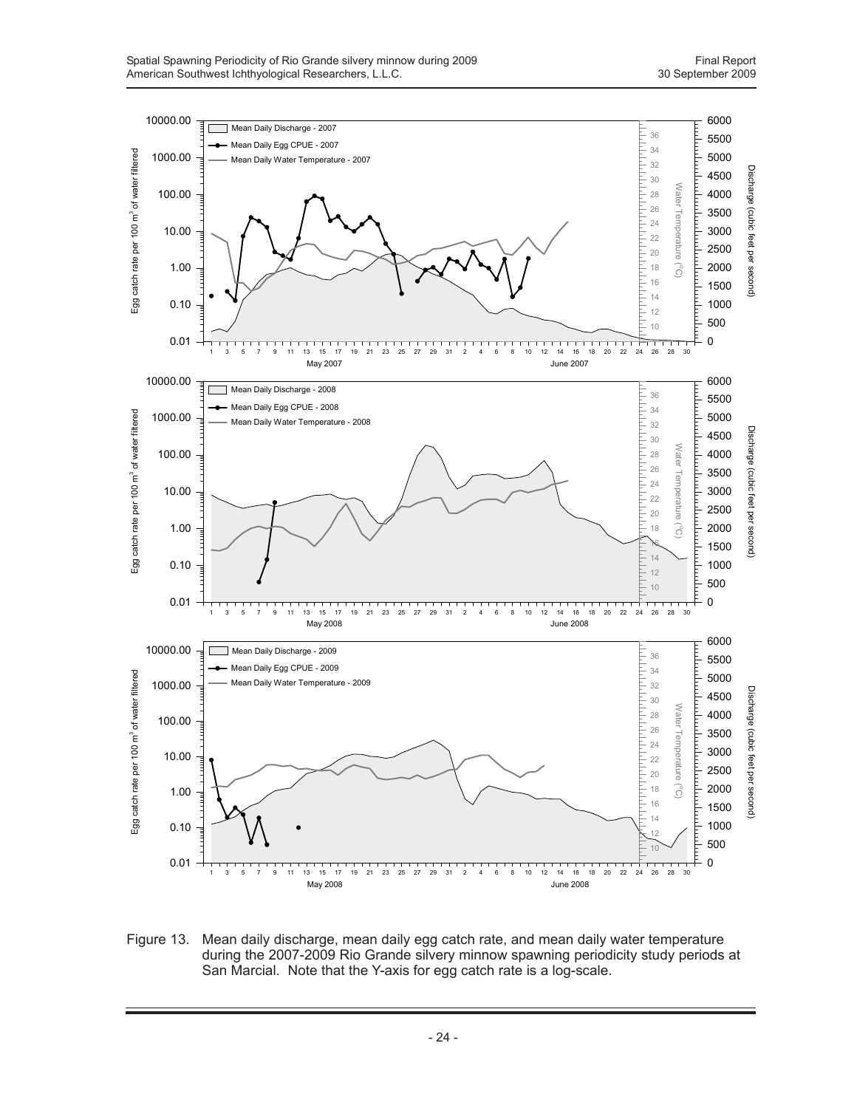

Figure 13. Mean daily discharge, mean daily egg catch rate, and mean daily water temperature during the 2007-2009 Rio Grande silvery minnow spawning periodicity study periods at San Marcial. Note that the Y-axis for egg catch rate is a log-scale.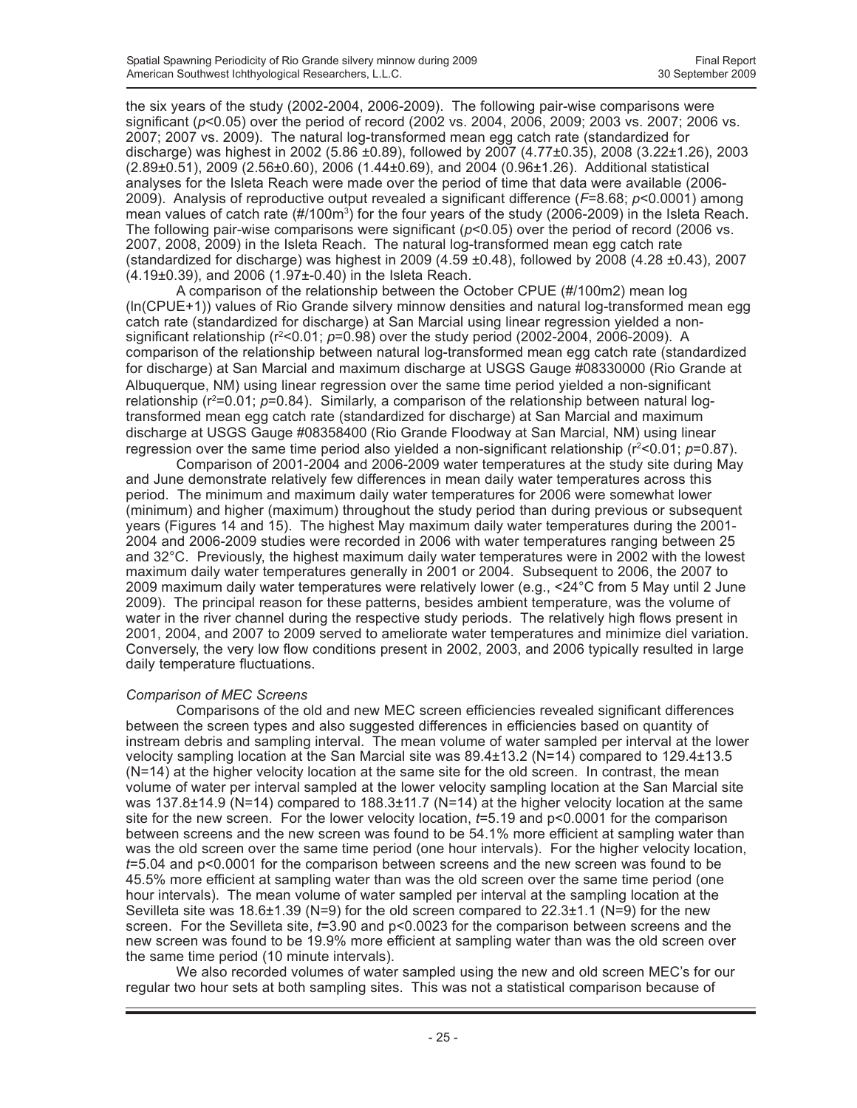the six years of the study (2002-2004, 2006-2009). The following pair-wise comparisons were significant (*p*<0.05) over the period of record (2002 vs. 2004, 2006, 2009; 2003 vs. 2007; 2006 vs. 2007; 2007 vs. 2009). The natural log-transformed mean egg catch rate (standardized for discharge) was highest in 2002 (5.86 ±0.89), followed by 2007 (4.77±0.35), 2008 (3.22±1.26), 2003 (2.89±0.51), 2009 (2.56±0.60), 2006 (1.44±0.69), and 2004 (0.96±1.26). Additional statistical analyses for the Isleta Reach were made over the period of time that data were available (2006- 2009). Analysis of reproductive output revealed a significant difference (*F*=8.68; *p*<0.0001) among mean values of catch rate (#/100m<sup>3</sup>) for the four years of the study (2006-2009) in the Isleta Reach. The following pair-wise comparisons were significant ( $p$ <0.05) over the period of record (2006 vs. 2007, 2008, 2009) in the Isleta Reach. The natural log-transformed mean egg catch rate (standardized for discharge) was highest in 2009 (4.59  $\pm$ 0.48), followed by 2008 (4.28  $\pm$ 0.43), 2007 (4.19±0.39), and 2006 (1.97±-0.40) in the Isleta Reach.

A comparison of the relationship between the October CPUE (#/100m2) mean log (ln(CPUE+1)) values of Rio Grande silvery minnow densities and natural log-transformed mean egg catch rate (standardized for discharge) at San Marcial using linear regression yielded a nonsignificant relationship (r<sup>2</sup><0.01; p=0.98) over the study period (2002-2004, 2006-2009). A comparison of the relationship between natural log-transformed mean egg catch rate (standardized for discharge) at San Marcial and maximum discharge at USGS Gauge #08330000 (Rio Grande at Albuquerque, NM) using linear regression over the same time period yielded a non-significant relationship (r<sup>2</sup>=0.01; p=0.84). Similarly, a comparison of the relationship between natural logtransformed mean egg catch rate (standardized for discharge) at San Marcial and maximum discharge at USGS Gauge #08358400 (Rio Grande Floodway at San Marcial, NM) using linear regression over the same time period also yielded a non-significant relationship ( $r^2 < 0.01$ ;  $p = 0.87$ ).

Comparison of 2001-2004 and 2006-2009 water temperatures at the study site during May and June demonstrate relatively few differences in mean daily water temperatures across this period. The minimum and maximum daily water temperatures for 2006 were somewhat lower (minimum) and higher (maximum) throughout the study period than during previous or subsequent years (Figures 14 and 15). The highest May maximum daily water temperatures during the 2001- 2004 and 2006-2009 studies were recorded in 2006 with water temperatures ranging between 25 and 32°C. Previously, the highest maximum daily water temperatures were in 2002 with the lowest maximum daily water temperatures generally in 2001 or 2004. Subsequent to 2006, the 2007 to 2009 maximum daily water temperatures were relatively lower (e.g., <24°C from 5 May until 2 June 2009). The principal reason for these patterns, besides ambient temperature, was the volume of water in the river channel during the respective study periods. The relatively high flows present in 2001, 2004, and 2007 to 2009 served to ameliorate water temperatures and minimize diel variation. Conversely, the very low flow conditions present in 2002, 2003, and 2006 typically resulted in large daily temperature fluctuations.

#### *Comparison of MEC Screens*

Comparisons of the old and new MEC screen efficiencies revealed significant differences between the screen types and also suggested differences in efficiencies based on quantity of instream debris and sampling interval. The mean volume of water sampled per interval at the lower velocity sampling location at the San Marcial site was 89.4±13.2 (N=14) compared to 129.4±13.5  $(N=14)$  at the higher velocity location at the same site for the old screen. In contrast, the mean volume of water per interval sampled at the lower velocity sampling location at the San Marcial site was 137.8 $\pm$ 14.9 (N=14) compared to 188.3 $\pm$ 11.7 (N=14) at the higher velocity location at the same site for the new screen. For the lower velocity location, *t*=5.19 and p<0.0001 for the comparison between screens and the new screen was found to be 54.1% more efficient at sampling water than was the old screen over the same time period (one hour intervals). For the higher velocity location, *t*=5.04 and p<0.0001 for the comparison between screens and the new screen was found to be 45.5% more efficient at sampling water than was the old screen over the same time period (one hour intervals). The mean volume of water sampled per interval at the sampling location at the Sevilleta site was 18.6 $\pm$ 1.39 (N=9) for the old screen compared to 22.3 $\pm$ 1.1 (N=9) for the new screen. For the Sevilleta site, *t*=3.90 and p<0.0023 for the comparison between screens and the new screen was found to be 19.9% more efficient at sampling water than was the old screen over the same time period (10 minute intervals).

We also recorded volumes of water sampled using the new and old screen MEC's for our regular two hour sets at both sampling sites. This was not a statistical comparison because of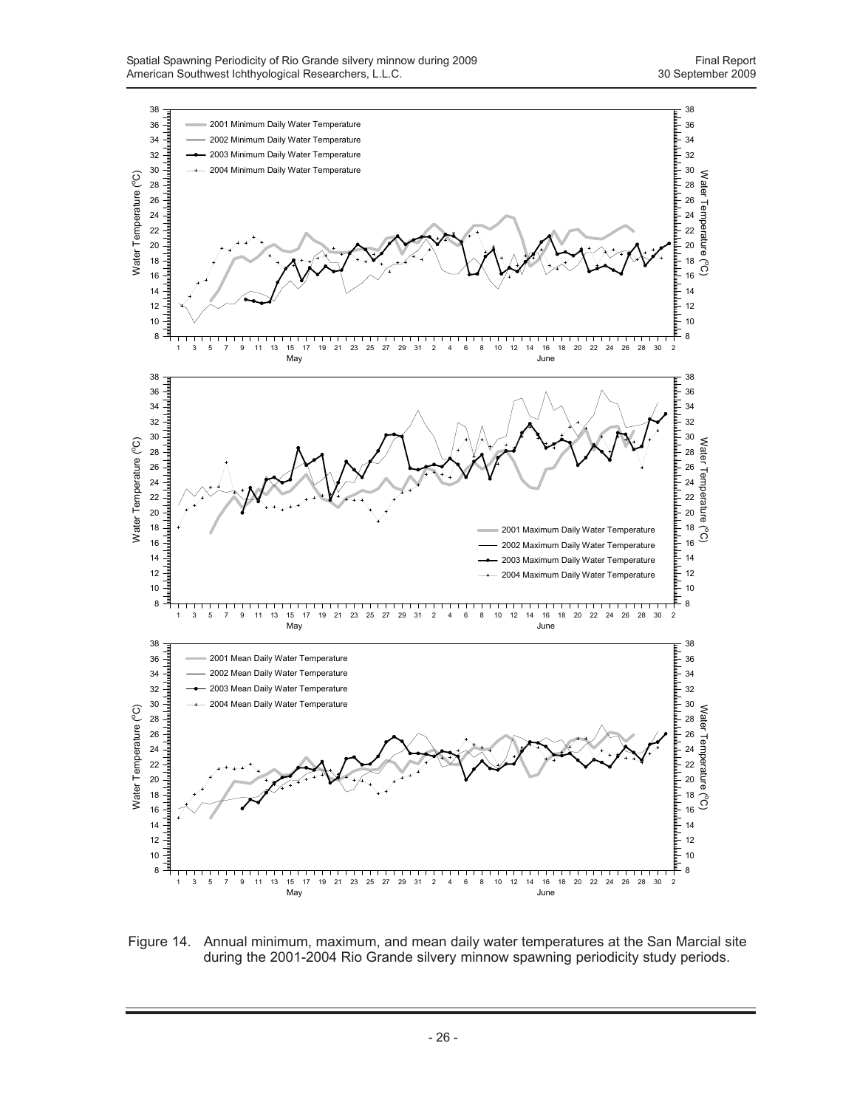

Figure 14. Annual minimum, maximum, and mean daily water temperatures at the San Marcial site during the 2001-2004 Rio Grande silvery minnow spawning periodicity study periods.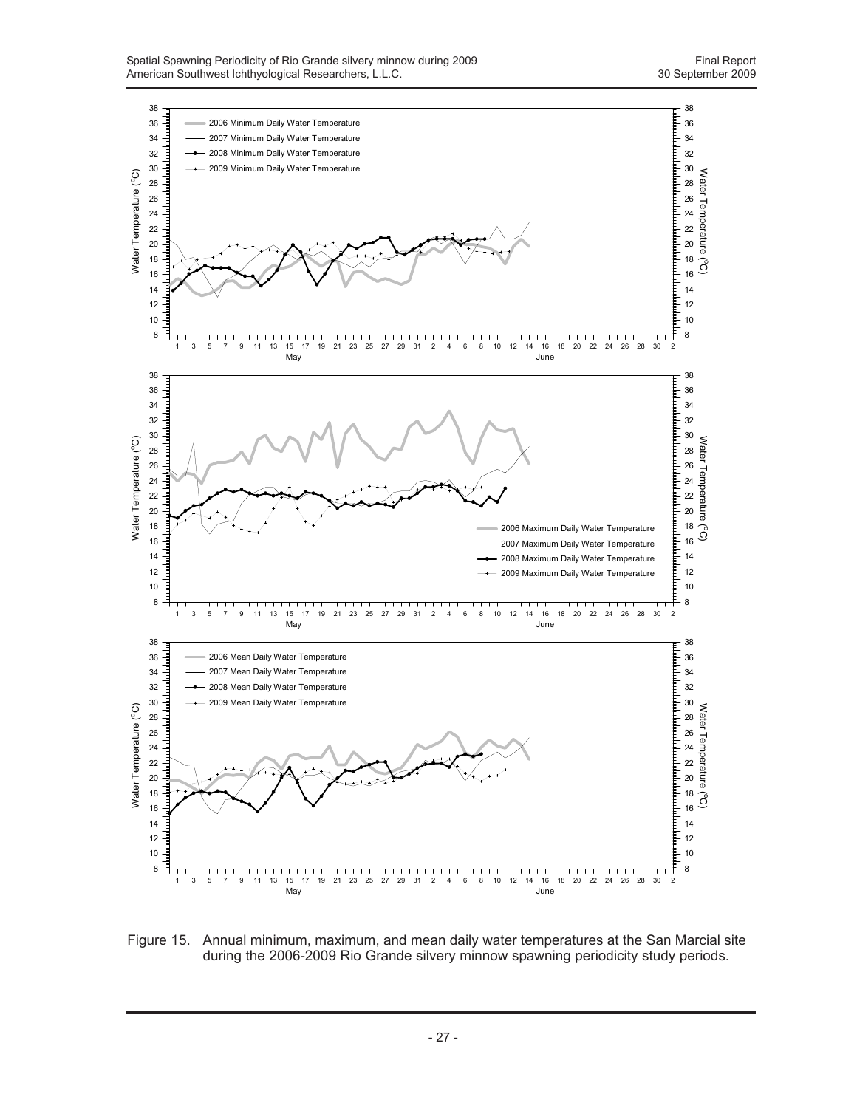

Figure 15. Annual minimum, maximum, and mean daily water temperatures at the San Marcial site during the 2006-2009 Rio Grande silvery minnow spawning periodicity study periods.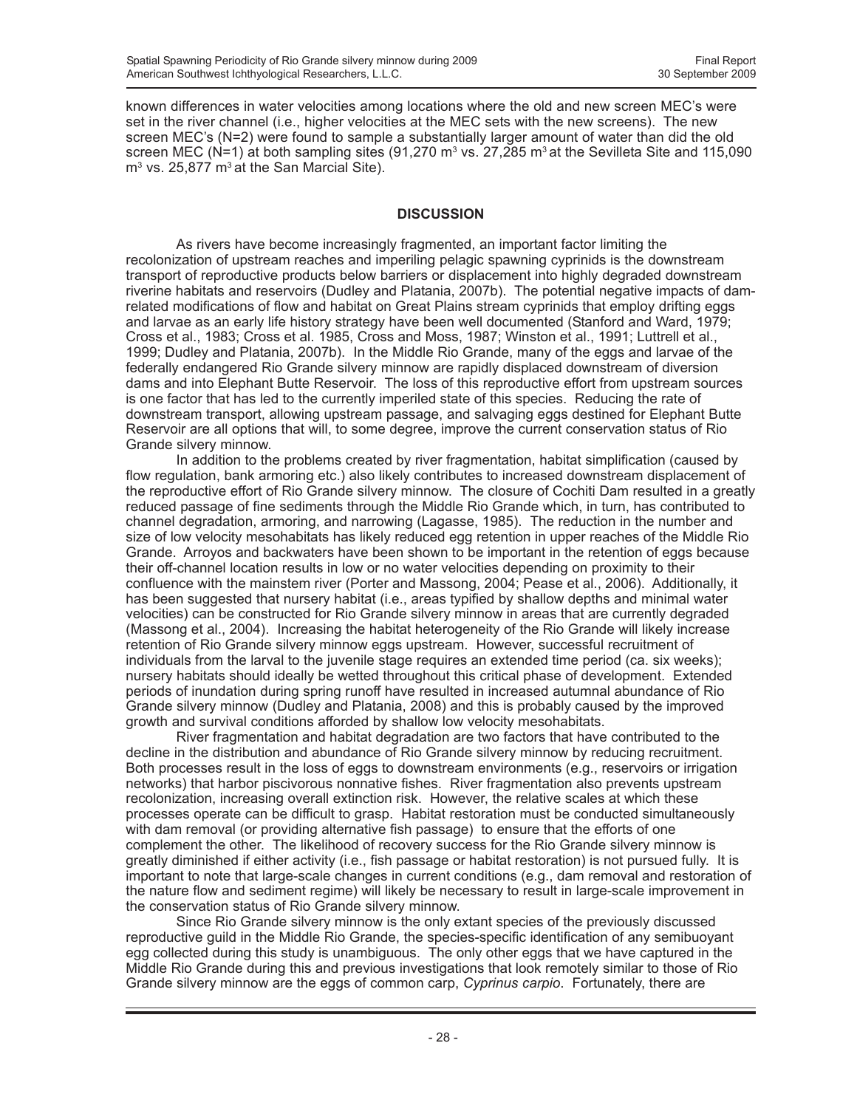known differences in water velocities among locations where the old and new screen MEC's were set in the river channel (i.e., higher velocities at the MEC sets with the new screens). The new screen MEC's (N=2) were found to sample a substantially larger amount of water than did the old screen MEC (N=1) at both sampling sites (91,270 m<sup>3</sup> vs. 27,285 m<sup>3</sup> at the Sevilleta Site and 115,090  $m<sup>3</sup>$  vs. 25,877  $m<sup>3</sup>$  at the San Marcial Site).

#### **DISCUSSION**

As rivers have become increasingly fragmented, an important factor limiting the recolonization of upstream reaches and imperiling pelagic spawning cyprinids is the downstream transport of reproductive products below barriers or displacement into highly degraded downstream riverine habitats and reservoirs (Dudley and Platania, 2007b). The potential negative impacts of damrelated modifications of flow and habitat on Great Plains stream cyprinids that employ drifting eggs and larvae as an early life history strategy have been well documented (Stanford and Ward, 1979; Cross et al., 1983; Cross et al. 1985, Cross and Moss, 1987; Winston et al., 1991; Luttrell et al., 1999; Dudley and Platania, 2007b). In the Middle Rio Grande, many of the eggs and larvae of the federally endangered Rio Grande silvery minnow are rapidly displaced downstream of diversion dams and into Elephant Butte Reservoir. The loss of this reproductive effort from upstream sources is one factor that has led to the currently imperiled state of this species. Reducing the rate of downstream transport, allowing upstream passage, and salvaging eggs destined for Elephant Butte Reservoir are all options that will, to some degree, improve the current conservation status of Rio Grande silvery minnow.

In addition to the problems created by river fragmentation, habitat simplification (caused by flow regulation, bank armoring etc.) also likely contributes to increased downstream displacement of the reproductive effort of Rio Grande silvery minnow. The closure of Cochiti Dam resulted in a greatly reduced passage of fine sediments through the Middle Rio Grande which, in turn, has contributed to channel degradation, armoring, and narrowing (Lagasse, 1985). The reduction in the number and size of low velocity mesohabitats has likely reduced egg retention in upper reaches of the Middle Rio Grande. Arroyos and backwaters have been shown to be important in the retention of eggs because their off-channel location results in low or no water velocities depending on proximity to their confluence with the mainstem river (Porter and Massong, 2004; Pease et al., 2006). Additionally, it has been suggested that nursery habitat (i.e., areas typified by shallow depths and minimal water velocities) can be constructed for Rio Grande silvery minnow in areas that are currently degraded (Massong et al., 2004). Increasing the habitat heterogeneity of the Rio Grande will likely increase retention of Rio Grande silvery minnow eggs upstream. However, successful recruitment of individuals from the larval to the juvenile stage requires an extended time period (ca. six weeks); nursery habitats should ideally be wetted throughout this critical phase of development. Extended periods of inundation during spring runoff have resulted in increased autumnal abundance of Rio Grande silvery minnow (Dudley and Platania, 2008) and this is probably caused by the improved growth and survival conditions afforded by shallow low velocity mesohabitats.

River fragmentation and habitat degradation are two factors that have contributed to the decline in the distribution and abundance of Rio Grande silvery minnow by reducing recruitment. Both processes result in the loss of eggs to downstream environments (e.g., reservoirs or irrigation networks) that harbor piscivorous nonnative fishes. River fragmentation also prevents upstream recolonization, increasing overall extinction risk. However, the relative scales at which these processes operate can be difficult to grasp. Habitat restoration must be conducted simultaneously with dam removal (or providing alternative fish passage) to ensure that the efforts of one complement the other. The likelihood of recovery success for the Rio Grande silvery minnow is greatly diminished if either activity (i.e., fish passage or habitat restoration) is not pursued fully. It is important to note that large-scale changes in current conditions (e.g., dam removal and restoration of the nature flow and sediment regime) will likely be necessary to result in large-scale improvement in the conservation status of Rio Grande silvery minnow.

Since Rio Grande silvery minnow is the only extant species of the previously discussed reproductive guild in the Middle Rio Grande, the species-specific identification of any semibuoyant egg collected during this study is unambiguous. The only other eggs that we have captured in the Middle Rio Grande during this and previous investigations that look remotely similar to those of Rio Grande silvery minnow are the eggs of common carp, *Cyprinus carpio*. Fortunately, there are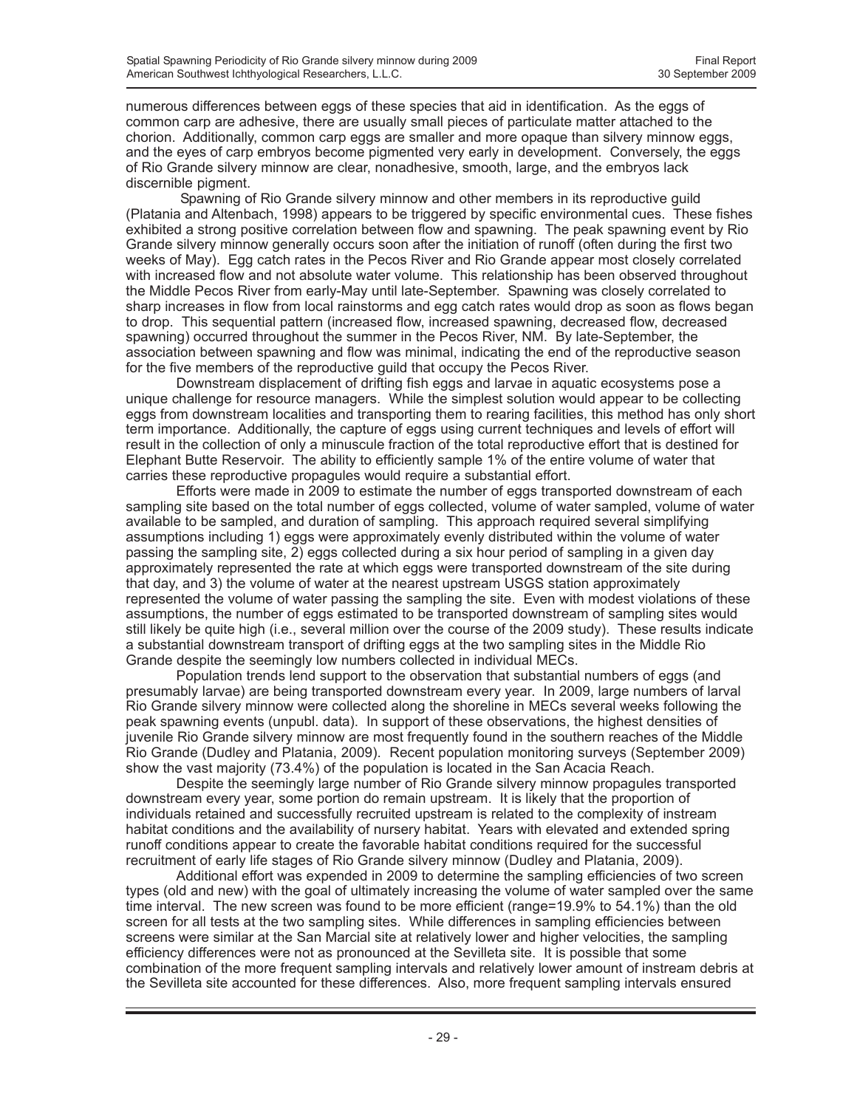numerous differences between eggs of these species that aid in identification. As the eggs of common carp are adhesive, there are usually small pieces of particulate matter attached to the chorion. Additionally, common carp eggs are smaller and more opaque than silvery minnow eggs, and the eyes of carp embryos become pigmented very early in development. Conversely, the eggs of Rio Grande silvery minnow are clear, nonadhesive, smooth, large, and the embryos lack discernible pigment.

 Spawning of Rio Grande silvery minnow and other members in its reproductive guild (Platania and Altenbach, 1998) appears to be triggered by specific environmental cues. These fishes exhibited a strong positive correlation between flow and spawning. The peak spawning event by Rio Grande silvery minnow generally occurs soon after the initiation of runoff (often during the first two weeks of May). Egg catch rates in the Pecos River and Rio Grande appear most closely correlated with increased flow and not absolute water volume. This relationship has been observed throughout the Middle Pecos River from early-May until late-September. Spawning was closely correlated to sharp increases in flow from local rainstorms and egg catch rates would drop as soon as flows began to drop. This sequential pattern (increased flow, increased spawning, decreased flow, decreased spawning) occurred throughout the summer in the Pecos River, NM. By late-September, the association between spawning and flow was minimal, indicating the end of the reproductive season for the five members of the reproductive guild that occupy the Pecos River.

Downstream displacement of drifting fish eggs and larvae in aquatic ecosystems pose a unique challenge for resource managers. While the simplest solution would appear to be collecting eggs from downstream localities and transporting them to rearing facilities, this method has only short term importance. Additionally, the capture of eggs using current techniques and levels of effort will result in the collection of only a minuscule fraction of the total reproductive effort that is destined for Elephant Butte Reservoir. The ability to efficiently sample 1% of the entire volume of water that carries these reproductive propagules would require a substantial effort.

Efforts were made in 2009 to estimate the number of eggs transported downstream of each sampling site based on the total number of eggs collected, volume of water sampled, volume of water available to be sampled, and duration of sampling. This approach required several simplifying assumptions including 1) eggs were approximately evenly distributed within the volume of water passing the sampling site, 2) eggs collected during a six hour period of sampling in a given day approximately represented the rate at which eggs were transported downstream of the site during that day, and 3) the volume of water at the nearest upstream USGS station approximately represented the volume of water passing the sampling the site. Even with modest violations of these assumptions, the number of eggs estimated to be transported downstream of sampling sites would still likely be quite high (i.e., several million over the course of the 2009 study). These results indicate a substantial downstream transport of drifting eggs at the two sampling sites in the Middle Rio Grande despite the seemingly low numbers collected in individual MECs.

Population trends lend support to the observation that substantial numbers of eggs (and presumably larvae) are being transported downstream every year. In 2009, large numbers of larval Rio Grande silvery minnow were collected along the shoreline in MECs several weeks following the peak spawning events (unpubl. data). In support of these observations, the highest densities of juvenile Rio Grande silvery minnow are most frequently found in the southern reaches of the Middle Rio Grande (Dudley and Platania, 2009). Recent population monitoring surveys (September 2009) show the vast majority (73.4%) of the population is located in the San Acacia Reach.

Despite the seemingly large number of Rio Grande silvery minnow propagules transported downstream every year, some portion do remain upstream. It is likely that the proportion of individuals retained and successfully recruited upstream is related to the complexity of instream habitat conditions and the availability of nursery habitat. Years with elevated and extended spring runoff conditions appear to create the favorable habitat conditions required for the successful recruitment of early life stages of Rio Grande silvery minnow (Dudley and Platania, 2009).

Additional effort was expended in 2009 to determine the sampling efficiencies of two screen types (old and new) with the goal of ultimately increasing the volume of water sampled over the same time interval. The new screen was found to be more efficient (range=19.9% to 54.1%) than the old screen for all tests at the two sampling sites. While differences in sampling efficiencies between screens were similar at the San Marcial site at relatively lower and higher velocities, the sampling efficiency differences were not as pronounced at the Sevilleta site. It is possible that some combination of the more frequent sampling intervals and relatively lower amount of instream debris at the Sevilleta site accounted for these differences. Also, more frequent sampling intervals ensured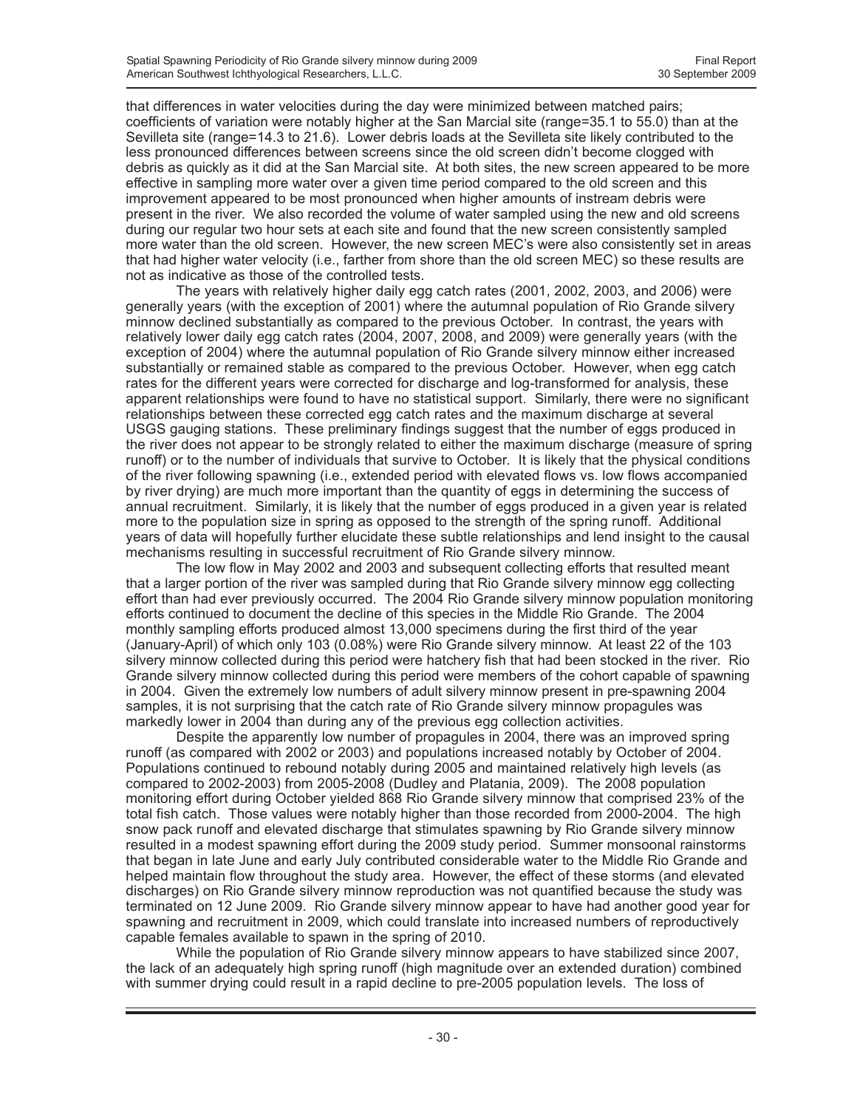that differences in water velocities during the day were minimized between matched pairs; coefficients of variation were notably higher at the San Marcial site (range=35.1 to 55.0) than at the Sevilleta site (range=14.3 to 21.6). Lower debris loads at the Sevilleta site likely contributed to the less pronounced differences between screens since the old screen didn't become clogged with debris as quickly as it did at the San Marcial site. At both sites, the new screen appeared to be more effective in sampling more water over a given time period compared to the old screen and this improvement appeared to be most pronounced when higher amounts of instream debris were present in the river. We also recorded the volume of water sampled using the new and old screens during our regular two hour sets at each site and found that the new screen consistently sampled more water than the old screen. However, the new screen MEC's were also consistently set in areas that had higher water velocity (i.e., farther from shore than the old screen MEC) so these results are not as indicative as those of the controlled tests.

The years with relatively higher daily egg catch rates (2001, 2002, 2003, and 2006) were generally years (with the exception of 2001) where the autumnal population of Rio Grande silvery minnow declined substantially as compared to the previous October. In contrast, the years with relatively lower daily egg catch rates (2004, 2007, 2008, and 2009) were generally years (with the exception of 2004) where the autumnal population of Rio Grande silvery minnow either increased substantially or remained stable as compared to the previous October. However, when egg catch rates for the different years were corrected for discharge and log-transformed for analysis, these apparent relationships were found to have no statistical support. Similarly, there were no significant relationships between these corrected egg catch rates and the maximum discharge at several USGS gauging stations. These preliminary findings suggest that the number of eggs produced in the river does not appear to be strongly related to either the maximum discharge (measure of spring runoff) or to the number of individuals that survive to October. It is likely that the physical conditions of the river following spawning (i.e., extended period with elevated flows vs. low flows accompanied by river drying) are much more important than the quantity of eggs in determining the success of annual recruitment. Similarly, it is likely that the number of eggs produced in a given year is related more to the population size in spring as opposed to the strength of the spring runoff. Additional years of data will hopefully further elucidate these subtle relationships and lend insight to the causal mechanisms resulting in successful recruitment of Rio Grande silvery minnow.

The low flow in May 2002 and 2003 and subsequent collecting efforts that resulted meant that a larger portion of the river was sampled during that Rio Grande silvery minnow egg collecting effort than had ever previously occurred. The 2004 Rio Grande silvery minnow population monitoring efforts continued to document the decline of this species in the Middle Rio Grande. The 2004 monthly sampling efforts produced almost 13,000 specimens during the first third of the year (January-April) of which only 103 (0.08%) were Rio Grande silvery minnow. At least 22 of the 103 silvery minnow collected during this period were hatchery fish that had been stocked in the river. Rio Grande silvery minnow collected during this period were members of the cohort capable of spawning in 2004. Given the extremely low numbers of adult silvery minnow present in pre-spawning 2004 samples, it is not surprising that the catch rate of Rio Grande silvery minnow propagules was markedly lower in 2004 than during any of the previous egg collection activities.

Despite the apparently low number of propagules in 2004, there was an improved spring runoff (as compared with 2002 or 2003) and populations increased notably by October of 2004. Populations continued to rebound notably during 2005 and maintained relatively high levels (as compared to 2002-2003) from 2005-2008 (Dudley and Platania, 2009). The 2008 population monitoring effort during October yielded 868 Rio Grande silvery minnow that comprised 23% of the total fish catch. Those values were notably higher than those recorded from 2000-2004. The high snow pack runoff and elevated discharge that stimulates spawning by Rio Grande silvery minnow resulted in a modest spawning effort during the 2009 study period. Summer monsoonal rainstorms that began in late June and early July contributed considerable water to the Middle Rio Grande and helped maintain flow throughout the study area. However, the effect of these storms (and elevated discharges) on Rio Grande silvery minnow reproduction was not quantified because the study was terminated on 12 June 2009. Rio Grande silvery minnow appear to have had another good year for spawning and recruitment in 2009, which could translate into increased numbers of reproductively capable females available to spawn in the spring of 2010.

While the population of Rio Grande silvery minnow appears to have stabilized since 2007, the lack of an adequately high spring runoff (high magnitude over an extended duration) combined with summer drying could result in a rapid decline to pre-2005 population levels. The loss of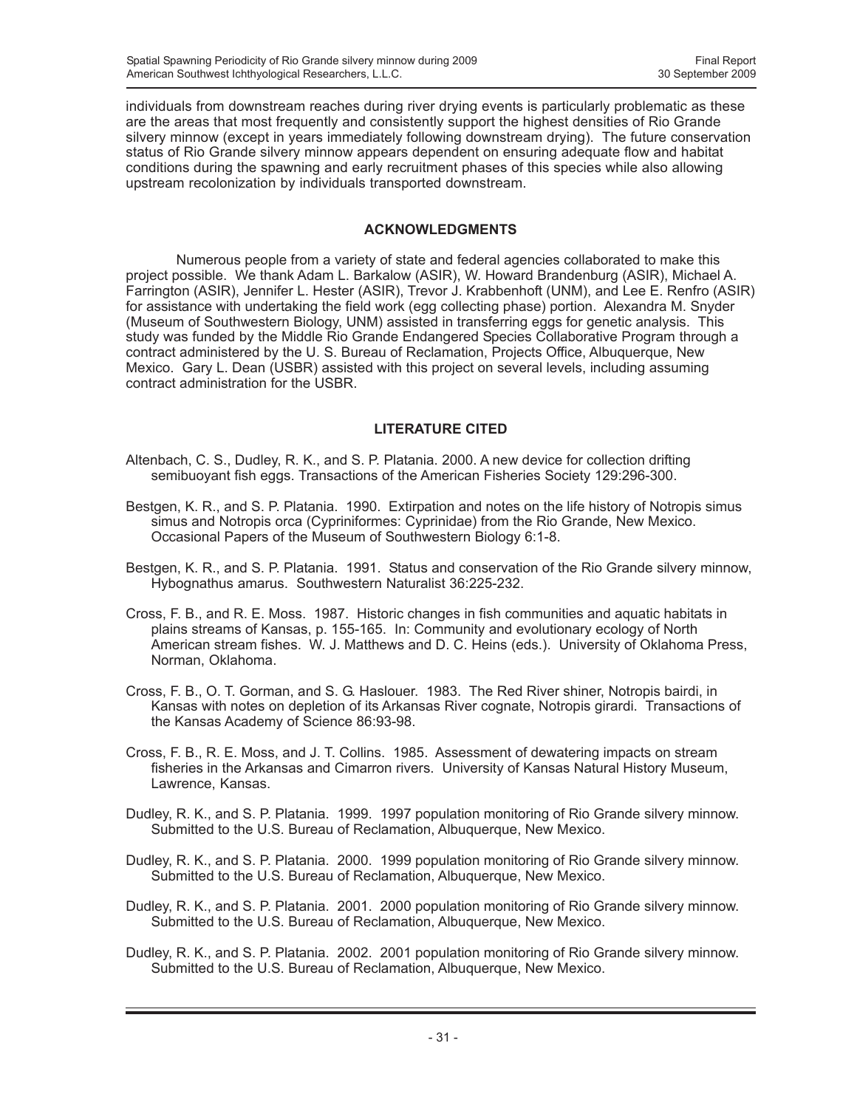individuals from downstream reaches during river drying events is particularly problematic as these are the areas that most frequently and consistently support the highest densities of Rio Grande silvery minnow (except in years immediately following downstream drying). The future conservation status of Rio Grande silvery minnow appears dependent on ensuring adequate flow and habitat conditions during the spawning and early recruitment phases of this species while also allowing upstream recolonization by individuals transported downstream.

### **ACKNOWLEDGMENTS**

Numerous people from a variety of state and federal agencies collaborated to make this project possible. We thank Adam L. Barkalow (ASIR), W. Howard Brandenburg (ASIR), Michael A. Farrington (ASIR), Jennifer L. Hester (ASIR), Trevor J. Krabbenhoft (UNM), and Lee E. Renfro (ASIR) for assistance with undertaking the field work (egg collecting phase) portion. Alexandra M. Snyder (Museum of Southwestern Biology, UNM) assisted in transferring eggs for genetic analysis. This study was funded by the Middle Rio Grande Endangered Species Collaborative Program through a contract administered by the U. S. Bureau of Reclamation, Projects Office, Albuquerque, New Mexico. Gary L. Dean (USBR) assisted with this project on several levels, including assuming contract administration for the USBR.

### **LITERATURE CITED**

- Altenbach, C. S., Dudley, R. K., and S. P. Platania. 2000. A new device for collection drifting semibuoyant fish eggs. Transactions of the American Fisheries Society 129:296-300.
- Bestgen, K. R., and S. P. Platania. 1990. Extirpation and notes on the life history of Notropis simus simus and Notropis orca (Cypriniformes: Cyprinidae) from the Rio Grande, New Mexico. Occasional Papers of the Museum of Southwestern Biology 6:1-8.
- Bestgen, K. R., and S. P. Platania. 1991. Status and conservation of the Rio Grande silvery minnow, Hybognathus amarus. Southwestern Naturalist 36:225-232.
- Cross, F. B., and R. E. Moss. 1987. Historic changes in fish communities and aquatic habitats in plains streams of Kansas, p. 155-165. In: Community and evolutionary ecology of North American stream fishes. W. J. Matthews and D. C. Heins (eds.). University of Oklahoma Press, Norman, Oklahoma.
- Cross, F. B., O. T. Gorman, and S. G. Haslouer. 1983. The Red River shiner, Notropis bairdi, in Kansas with notes on depletion of its Arkansas River cognate, Notropis girardi. Transactions of the Kansas Academy of Science 86:93-98.
- Cross, F. B., R. E. Moss, and J. T. Collins. 1985. Assessment of dewatering impacts on stream fisheries in the Arkansas and Cimarron rivers. University of Kansas Natural History Museum, Lawrence, Kansas.
- Dudley, R. K., and S. P. Platania. 1999. 1997 population monitoring of Rio Grande silvery minnow. Submitted to the U.S. Bureau of Reclamation, Albuquerque, New Mexico.
- Dudley, R. K., and S. P. Platania. 2000. 1999 population monitoring of Rio Grande silvery minnow. Submitted to the U.S. Bureau of Reclamation, Albuquerque, New Mexico.
- Dudley, R. K., and S. P. Platania. 2001. 2000 population monitoring of Rio Grande silvery minnow. Submitted to the U.S. Bureau of Reclamation, Albuquerque, New Mexico.
- Dudley, R. K., and S. P. Platania. 2002. 2001 population monitoring of Rio Grande silvery minnow. Submitted to the U.S. Bureau of Reclamation, Albuquerque, New Mexico.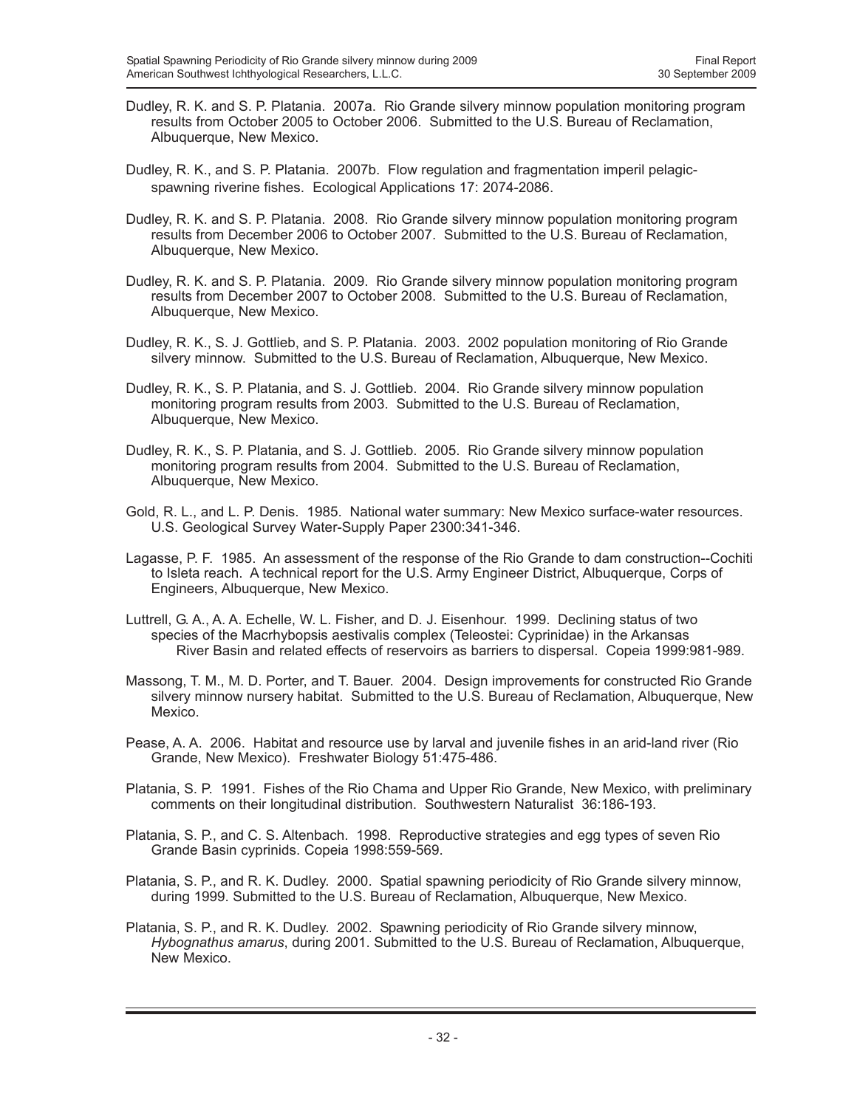- Dudley, R. K. and S. P. Platania. 2007a. Rio Grande silvery minnow population monitoring program results from October 2005 to October 2006. Submitted to the U.S. Bureau of Reclamation, Albuquerque, New Mexico.
- Dudley, R. K., and S. P. Platania. 2007b. Flow regulation and fragmentation imperil pelagicspawning riverine fishes. Ecological Applications 17: 2074-2086.
- Dudley, R. K. and S. P. Platania. 2008. Rio Grande silvery minnow population monitoring program results from December 2006 to October 2007. Submitted to the U.S. Bureau of Reclamation, Albuquerque, New Mexico.
- Dudley, R. K. and S. P. Platania. 2009. Rio Grande silvery minnow population monitoring program results from December 2007 to October 2008. Submitted to the U.S. Bureau of Reclamation, Albuquerque, New Mexico.
- Dudley, R. K., S. J. Gottlieb, and S. P. Platania. 2003. 2002 population monitoring of Rio Grande silvery minnow. Submitted to the U.S. Bureau of Reclamation, Albuquerque, New Mexico.
- Dudley, R. K., S. P. Platania, and S. J. Gottlieb. 2004. Rio Grande silvery minnow population monitoring program results from 2003. Submitted to the U.S. Bureau of Reclamation, Albuquerque, New Mexico.
- Dudley, R. K., S. P. Platania, and S. J. Gottlieb. 2005. Rio Grande silvery minnow population monitoring program results from 2004. Submitted to the U.S. Bureau of Reclamation, Albuquerque, New Mexico.
- Gold, R. L., and L. P. Denis. 1985. National water summary: New Mexico surface-water resources. U.S. Geological Survey Water-Supply Paper 2300:341-346.
- Lagasse, P. F. 1985. An assessment of the response of the Rio Grande to dam construction--Cochiti to Isleta reach. A technical report for the U.S. Army Engineer District, Albuquerque, Corps of Engineers, Albuquerque, New Mexico.
- Luttrell, G. A., A. A. Echelle, W. L. Fisher, and D. J. Eisenhour. 1999. Declining status of two species of the Macrhybopsis aestivalis complex (Teleostei: Cyprinidae) in the Arkansas River Basin and related effects of reservoirs as barriers to dispersal. Copeia 1999:981-989.
- Massong, T. M., M. D. Porter, and T. Bauer. 2004. Design improvements for constructed Rio Grande silvery minnow nursery habitat. Submitted to the U.S. Bureau of Reclamation, Albuquerque, New Mexico.
- Pease, A. A. 2006. Habitat and resource use by larval and juvenile fishes in an arid-land river (Rio Grande, New Mexico). Freshwater Biology 51:475-486.
- Platania, S. P. 1991. Fishes of the Rio Chama and Upper Rio Grande, New Mexico, with preliminary comments on their longitudinal distribution. Southwestern Naturalist 36:186-193.
- Platania, S. P., and C. S. Altenbach. 1998. Reproductive strategies and egg types of seven Rio Grande Basin cyprinids. Copeia 1998:559-569.
- Platania, S. P., and R. K. Dudley. 2000. Spatial spawning periodicity of Rio Grande silvery minnow, during 1999. Submitted to the U.S. Bureau of Reclamation, Albuquerque, New Mexico.
- Platania, S. P., and R. K. Dudley. 2002. Spawning periodicity of Rio Grande silvery minnow, *Hybognathus amarus*, during 2001. Submitted to the U.S. Bureau of Reclamation, Albuquerque, New Mexico.